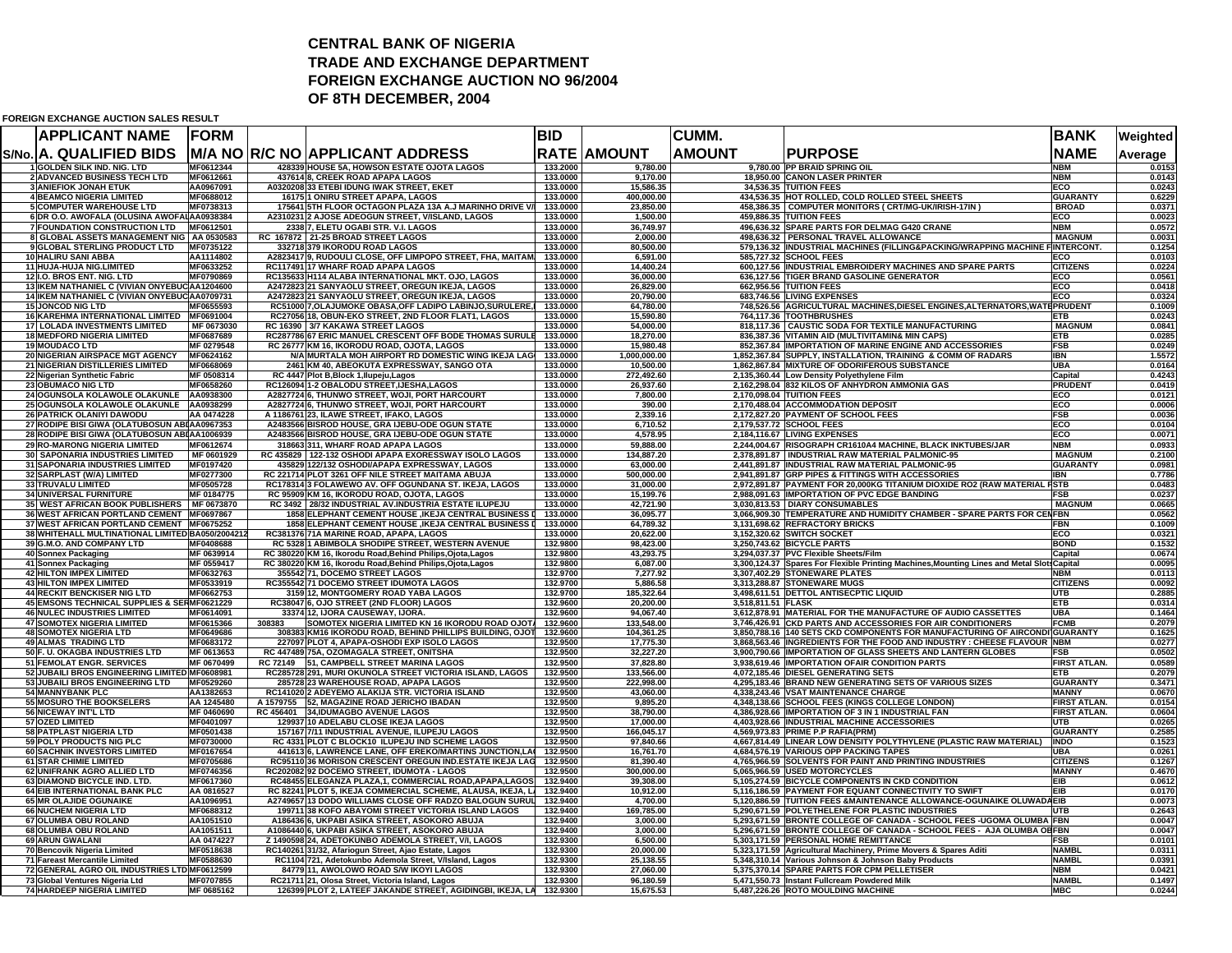## **CENTRAL BANK OF NIGERIA TRADE AND EXCHANGE DEPARTMENT FOREIGN EXCHANGE AUCTION NO 96/2004OF 8TH DECEMBER, 2004**

## **FOREIGN EXCHANGE AUCTION SALES RESULT**

| <b>APPLICANT NAME</b>                                                | <b>FORM</b>              |        |                                                                                                                   | <b>BID</b>           |                         | <b>CUMM.</b>       |                                                                                                                             | <b>BANK</b>                       | Weighted         |
|----------------------------------------------------------------------|--------------------------|--------|-------------------------------------------------------------------------------------------------------------------|----------------------|-------------------------|--------------------|-----------------------------------------------------------------------------------------------------------------------------|-----------------------------------|------------------|
| S/No. A. QUALIFIED BIDS                                              |                          |        | <b>M/A NO R/C NO APPLICANT ADDRESS</b>                                                                            |                      | <b>RATE AMOUNT</b>      | <b>AMOUNT</b>      | <b>PURPOSE</b>                                                                                                              | <b>NAME</b>                       | Average          |
| I GOLDEN SILK IND. NIG. LTD                                          | MF0612344                |        | 428339 HOUSE 5A, HOWSON ESTATE OJOTA LAGOS                                                                        | 133.2000             | 9,780.00                |                    | 9,780.00 PP BRAID SPRING OIL                                                                                                | <b>NBM</b>                        | 0.0153           |
| <b>2 ADVANCED BUSINESS TECH LTD</b>                                  | MF0612661                |        | 437614 8, CREEK ROAD APAPA LAGOS                                                                                  | 133.0000             | 9,170.00                |                    | 18,950.00 CANON LASER PRINTER                                                                                               | <b>NBM</b>                        | 0.0143           |
| <b>3 ANIEFIOK JONAH ETUK</b><br><b>4 BEAMCO NIGERIA LIMITED</b>      | AA0967091<br>MF0688012   |        | A0320208 33 ETEBI IDUNG IWAK STREET, EKET<br>16175 1 ONIRU STREET APAPA, LAGOS                                    | 133.0000<br>133.0000 | 15,586.35<br>400,000.00 |                    | 34,536.35 TUITION FEES<br>434,536.35 HOT ROLLED, COLD ROLLED STEEL SHEETS                                                   | ECO<br><b>GUARANTY</b>            | 0.0243<br>0.6229 |
| <b>5 COMPUTER WAREHOUSE LTD</b>                                      | MF0738313                |        | 175641 5TH FLOOR OCTAGON PLAZA 13A A.J MARINHO DRIVE V/                                                           | 133.0000             | 23,850.00               |                    | 458,386.35 COMPUTER MONITORS ( CRT/MG-UK/IRISH-17IN )                                                                       | <b>BROAD</b>                      | 0.0371           |
| 6 DR O.O. AWOFALA (OLUSINA AWOFALAA0938384                           |                          |        | A2310231 2 AJOSE ADEOGUN STREET, V/ISLAND, LAGOS                                                                  | 133.0000             | 1,500.00                |                    | 459,886.35 TUITION FEES                                                                                                     | ECO                               | 0.0023           |
| 7 FOUNDATION CONSTRUCTION LTD MF0612501                              |                          |        | 2338 7, ELETU OGABI STR. V.I. LAGOS                                                                               | 133,0000             | 36.749.97               |                    | 496.636.32 SPARE PARTS FOR DELMAG G420 CRANE                                                                                | <b>NBM</b>                        | 0.0572           |
| 8 GLOBAL ASSETS MANAGEMENT NIG AA 0530583                            |                          |        | RC 167872 21-25 BROAD STREET LAGOS                                                                                | 133.0000             | 2,000.00                |                    | 498,636.32 PERSONAL TRAVEL ALLOWANCE                                                                                        | <b>MAGNUM</b>                     | 0.0031           |
| 9 GLOBAL STERLING PRODUCT LTD                                        | MF0735122                |        | 332718 379 IKORODU ROAD LAGOS                                                                                     | 133.0000             | 80,500.00               |                    | 579,136.32 INDUSTRIAL MACHINES (FILLING&PACKING/WRAPPING MACHINE                                                            | <b>FINTERCONT.</b>                | 0.1254           |
| 10 HALIRU SANI ABBA                                                  | AA1114802                |        | A2823417 9, RUDOULI CLOSE, OFF LIMPOPO STREET, FHA, MAITAM.                                                       | 133.0000             | 6,591.00                |                    | 585,727.32 SCHOOL FEES                                                                                                      | ECO                               | 0.0103           |
| 11 HUJA-HUJA NIG.LIMITED<br>12 I.O. BROS ENT. NIG. LTD               | MF0633252<br>MF0790869   |        | RC117491 17 WHARF ROAD APAPA LAGOS<br>RC135633 H114 ALABA INTERNATIONAL MKT. OJO, LAGOS                           | 133.0000<br>133.0000 | 14,400.24<br>36,000.00  |                    | 600,127.56 INDUSTRIAL EMBROIDERY MACHINES AND SPARE PARTS<br>636,127.56 TIGER BRAND GASOLINE GENERATOR                      | <b>CITIZENS</b><br>ECO            | 0.0224<br>0.0561 |
| 13 IKEM NATHANIEL C (VIVIAN ONYEBUC AA1204600                        |                          |        | A2472823 21 SANYAOLU STREET, OREGUN IKEJA, LAGOS                                                                  | 133.0000             | 26,829.00               |                    | 662,956.56 TUITION FEES                                                                                                     | ECO                               | 0.0418           |
| 14 IKEM NATHANIEL C (VIVIAN ONYEBUC AA0709731                        |                          |        | A2472823 21 SANYAOLU STREET, OREGUN IKEJA, LAGOS                                                                  | 133.0000             | 20.790.00               |                    | 683,746.56 LIVING EXPENSES                                                                                                  | ECO                               | 0.0324           |
| <b>15 JONCOD NIG LTD</b>                                             | MF0655593                |        | RC51000 7, OLAJUMOKE OBASA, OFF LADIPO LABINJO, SURULERE, I                                                       | 133.0000             | 64,780.00               |                    | 748,526.56 AGRICULTURAL MACHINES, DIESEL ENGINES, ALTERNATORS, WATEPRUDENT                                                  |                                   | 0.1009           |
| 16 KAREHMA INTERNATIONAL LIMITED MF0691004                           |                          |        | RC27056 18, OBUN-EKO STREET, 2ND FLOOR FLAT1, LAGOS                                                               | 133.0000             | 15,590.80               |                    | 764,117.36 TOOTHBRUSHES                                                                                                     | ETB                               | 0.0243           |
| 17 LOLADA INVESTMENTS LIMITED                                        | MF 0673030               |        | RC 16390 3/7 KAKAWA STREET LAGOS                                                                                  | 133.0000             | 54,000.00               |                    | 818,117.36 CAUSTIC SODA FOR TEXTILE MANUFACTURING                                                                           | <b>MAGNUM</b>                     | 0.0841           |
| <b>18 MEDFORD NIGERIA LIMITED</b>                                    | MF0687689                |        | RC287786 67 ERIC MANUEL CRESCENT OFF BODE THOMAS SURULE                                                           | 133.0000             | 18,270.00               |                    | 836,387.36 VITAMIN AID (MULTIVITAMIN& MIN CAPS)                                                                             | <b>ETB</b>                        | 0.0285           |
| 19 MOUDACO LTD                                                       | MF 0279548               |        | RC 26777 KM 16, IKORODU ROAD, OJOTA, LAGOS                                                                        | 133.0000             | 15,980.48               |                    | 852,367.84 IMPORTATION OF MARINE ENGINE AND ACCESSORIES                                                                     | <b>FSB</b>                        | 0.0249           |
| 20 NIGERIAN AIRSPACE MGT AGENCY<br>21 NIGERIAN DISTILLERIES LIMITED  | MF0624162<br>MF0668069   |        | N/A MURTALA MOH AIRPORT RD DOMESTIC WING IKEJA LAG                                                                | 133,0000<br>133.0000 | 1,000,000.00            |                    | 1,852,367.84 SUPPLY, INSTALLATION, TRAINING & COMM OF RADARS<br>1,862,867.84 MIXTURE OF ODORIFEROUS SUBSTANCE               | <b>IBN</b><br><b>UBA</b>          | 1.5572<br>0.0164 |
| 22 Nigerian Synthetic Fabric                                         | MF 0508314               |        | 2461 KM 40, ABEOKUTA EXPRESSWAY, SANGO OTA<br>RC 4447 Plot B, Block 1, Ilupeju, Lagos                             | 133.0000             | 10,500.00<br>272,492.60 |                    | 2,135,360.44 Low Density Polyethylene Film                                                                                  | Capital                           | 0.4243           |
| 23 OBUMACO NIG LTD                                                   | MF0658260                |        | RC126094 1-2 OBALODU STREET, IJESHA, LAGOS                                                                        | 133.0000             | 26,937.60               |                    | 2,162,298.04 832 KILOS OF ANHYDRON AMMONIA GAS                                                                              | <b>PRUDENT</b>                    | 0.0419           |
| 24 OGUNSOLA KOLAWOLE OLAKUNLE AA0938300                              |                          |        | A2827724 6, THUNWO STREET, WOJI, PORT HARCOURT                                                                    | 133.0000             | 7,800.00                |                    | 2,170,098.04 TUITION FEES                                                                                                   | ECO                               | 0.0121           |
| 25 OGUNSOLA KOLAWOLE OLAKUNLE AA0938299                              |                          |        | A2827724 6, THUNWO STREET, WOJI, PORT HARCOURT                                                                    | 133.0000             | 390.00                  |                    | 2,170,488.04 ACCOMMODATION DEPOSIT                                                                                          | ECO                               | 0.0006           |
| <b>26 PATRICK OLANIYI DAWODU</b>                                     | AA 0474228               |        | A 1186761 23, ILAWE STREET, IFAKO, LAGOS                                                                          | 133.0000             | 2.339.16                |                    | 2,172,827.20 PAYMENT OF SCHOOL FEES                                                                                         | <b>FSB</b>                        | 0.0036           |
| 27 RODIPE BISI GIWA (OLATUBOSUN ABI AA0967353                        |                          |        | A2483566 BISROD HOUSE, GRA IJEBU-ODE OGUN STATE                                                                   | 133.0000             | 6,710.52                |                    | 2,179,537.72 SCHOOL FEES                                                                                                    | ECO                               | 0.0104           |
| 28 RODIPE BISI GIWA (OLATUBOSUN ABI AA1006939                        |                          |        | A2483566 BISROD HOUSE, GRA IJEBU-ODE OGUN STATE                                                                   | 133.0000             | 4,578.95                |                    | 2,184,116.67 LIVING EXPENSES                                                                                                | ECO                               | 0.0071           |
| 29 RO-MARONG NIGERIA LIMITED                                         | MF0612674                |        | 318663 311, WHARF ROAD APAPA LAGOS                                                                                | 133.0000             | 59,888.00               |                    | 2,244,004.67 RISOGRAPH CR1610A4 MACHINE, BLACK INKTUBES/JAR                                                                 | <b>NBM</b>                        | 0.0933           |
| <b>30 SAPONARIA INDUSTRIES LIMITED</b>                               | MF 0601929               |        | RC 435829 122-132 OSHODI APAPA EXORESSWAY ISOLO LAGOS                                                             | 133.0000             | 134,887.20              |                    | 2,378,891.87 INDUSTRIAL RAW MATERIAL PALMONIC-95                                                                            | <b>MAGNUM</b>                     | 0.2100           |
| 31 SAPONARIA INDUSTRIES LIMITED<br>32 SARPLAST (W/A) LIMITED         | MF0197420<br>MF0277300   |        | 435829 122/132 OSHODI/APAPA EXPRESSWAY, LAGOS<br>RC 221714 PLOT 3261 OFF NILE STREET MAITAMA ABUJA                | 133.0000<br>133.0000 | 63,000.00<br>500,000.00 |                    | 2,441,891.87 INDUSTRIAL RAW MATERIAL PALMONIC-95<br>2,941,891.87 GRP PIPES & FITTINGS WITH ACCESSORIES                      | <b>GUARANTY</b><br><b>IRN</b>     | 0.0981<br>0.7786 |
| <b>33 TRUVALU LIMITED</b>                                            | MF0505728                |        | RC178314 3 FOLAWEWO AV. OFF OGUNDANA ST. IKEJA, LAGOS                                                             | 133,0000             | 31,000.00               |                    | 2,972,891.87 PAYMENT FOR 20,000KG TITANIUM DIOXIDE RO2 (RAW MATERIAL FSTB                                                   |                                   | 0.0483           |
| <b>34 UNIVERSAL FURNITURE</b>                                        | MF 0184775               |        | RC 95909 KM 16, IKORODU ROAD, OJOTA, LAGOS                                                                        | 133.0000             | 15,199.76               |                    | 2,988,091.63 IMPORTATION OF PVC EDGE BANDING                                                                                | FSB                               | 0.0237           |
| 35 WEST AFRICAN BOOK PUBLISHERS MF 0673870                           |                          |        | RC 3492   28/32 INDUSTRIAL AV.INDUSTRIA ESTATE ILUPEJU                                                            | 133,0000             | 42,721.90               |                    | 3,030,813.53 DIARY CONSUMABLES                                                                                              | <b>MAGNUM</b>                     | 0.0665           |
| 36 WEST AFRICAN PORTLAND CEMENT MF0697867                            |                          |        | 1858 ELEPHANT CEMENT HOUSE , IKEJA CENTRAL BUSINESS I                                                             | 133.0000             | 36,095.77               |                    | 3,066,909.30 TEMPERATURE AND HUMIDITY CHAMBER - SPARE PARTS FOR CENFBN                                                      |                                   | 0.0562           |
| 37 WEST AFRICAN PORTLAND CEMENT MF0675252                            |                          |        | 1858 ELEPHANT CEMENT HOUSE , IKEJA CENTRAL BUSINESS [                                                             | 133.0000             | 64,789.32               |                    | 3,131,698.62 REFRACTORY BRICKS                                                                                              | <b>FBN</b>                        | 0.1009           |
| 38 WHITEHALL MULTINATIONAL LIMITED BA050/2004212                     |                          |        | RC381376 71A MARINE ROAD, APAPA, LAGOS                                                                            | 133.0000             | 20,622.00               |                    | 3,152,320.62 SWITCH SOCKET                                                                                                  | ECO                               | 0.0321           |
| 39 G.M.O. AND COMPANY LTD                                            | MF0408688                |        | RC 5328 1 ABIMBOLA SHODIPE STREET, WESTERN AVENUE                                                                 | 132.9800             | 98,423.00               |                    | 3,250,743.62 BICYCLE PARTS                                                                                                  | <b>BOND</b>                       | 0.1532           |
| 40 Sonnex Packaging                                                  | MF 0639914               |        | RC 380220 KM 16, Ikorodu Road, Behind Philips, Ojota, Lagos                                                       | 132.9800             | 43.293.75               |                    | 3,294,037.37 PVC Flexible Sheets/Film                                                                                       | Capital                           | 0.0674           |
| 41 Sonnex Packaging<br><b>42 HILTON IMPEX LIMITED</b>                | MF 0559417<br>MF0632763  |        | RC 380220 KM 16, Ikorodu Road, Behind Philips, Ojota, Lagos<br>355542 71, DOCEMO STREET LAGOS                     | 132.9800<br>132.9700 | 6,087.00<br>7,277.92    |                    | 3,300,124.37 Spares For Flexible Printing Machines, Mounting Lines and Metal Slots Capital<br>3,307,402.29 STONEWARE PLATES | <b>NBM</b>                        | 0.0095<br>0.0113 |
| 43 HILTON IMPEX LIMITED                                              | MF0533919                |        | RC355542 71 DOCEMO STREET IDUMOTA LAGOS                                                                           | 132.9700             | 5,886.58                |                    | 3,313,288.87 STONEWARE MUGS                                                                                                 | <b>CITIZENS</b>                   | 0.0092           |
| <b>44 RECKIT BENCKISER NIG LTD</b>                                   | MF0662753                |        | 3159 12, MONTGOMERY ROAD YABA LAGOS                                                                               | 132.9700             | 185,322.64              |                    | 3,498,611.51 DETTOL ANTISECPTIC LIQUID                                                                                      | <b>UTB</b>                        | 0.2885           |
| 45 EMSONS TECHNICAL SUPPLIES & SERMF0621229                          |                          |        | RC38047 6, OJO STREET (2ND FLOOR) LAGOS                                                                           | 132.9600             | 20,200.00               | 3,518,811.51 FLASK |                                                                                                                             | <b>ETB</b>                        | 0.0314           |
| <b>46 NULEC INDUSTRIES LIMITED</b>                                   | MF0614091                |        | 33374 12, IJORA CAUSEWAY, IJORA.                                                                                  | 132.9600             | 94,067.40               |                    | 3,612,878.91 MATERIAL FOR THE MANUFACTURE OF AUDIO CASSETTES                                                                | <b>UBA</b>                        | 0.1464           |
| <b>47 SOMOTEX NIGERIA LIMITED</b>                                    | MF0615366                | 308383 | SOMOTEX NIGERIA LIMITED KN 16 IKORODU ROAD OJOTA                                                                  | 132.9600             | 133,548.00              |                    | 3.746.426.91 CKD PARTS AND ACCESSORIES FOR AIR CONDITIONERS                                                                 | <b>FCMB</b>                       | 0.2079           |
| <b>48 SOMOTEX NIGERIA LTD</b>                                        | MF0649686                |        | 308383 KM16 IKORODU ROAD, BEHIND PHILLIPS BUILDING, OJOT                                                          | 132.9600             | 104,361.25              |                    | 3,850,788.16 140 SETS CKD COMPONENTS FOR MANUFACTURING OF AIRCONDI GUARANTY                                                 |                                   | 0.1625           |
| <b>49 ALMAS TRADING LTD</b>                                          | MF0683172                |        | 227097 PLOT 4, APAPA-OSHODI EXP ISOLO LAGOS                                                                       | 132.9500             | 17,775.30               |                    | 3,868,563.46 INGREDIENTS FOR THE FOOD AND INDUSTRY : CHEESE FLAVOUR NBM                                                     |                                   | 0.0277           |
| 50 F. U. OKAGBA INDUSTRIES LTD<br>51 FEMOLAT ENGR. SERVICES          | MF 0613653<br>MF 0670499 |        | RC 447489 75A, OZOMAGALA STREET, ONITSHA                                                                          | 132.9500<br>132.9500 | 32,227.20<br>37,828.80  |                    | 3,900,790.66 IMPORTATION OF GLASS SHEETS AND LANTERN GLOBES<br>3,938,619.46 IMPORTATION OFAIR CONDITION PARTS               | <b>FSB</b><br><b>FIRST ATLAN.</b> | 0.0502<br>0.0589 |
| 52 JUBAILI BROS ENGINEERING LIMITED MF0608981                        |                          |        | RC 72149 51, CAMPBELL STREET MARINA LAGOS<br>RC285728 291, MURI OKUNOLA STREET VICTORIA ISLAND, LAGOS             | 132.9500             | 133.566.00              |                    | 4,072,185.46 DIESEL GENERATING SETS                                                                                         | <b>ETB</b>                        | 0.2079           |
| 53 JUBAILI BROS ENGINEERING LTD                                      | MF0529260                |        | 285728 23 WAREHOUSE ROAD, APAPA LAGOS                                                                             | 132.9500             | 222,998.00              |                    | 4,295,183.46 BRAND NEW GENERATING SETS OF VARIOUS SIZES                                                                     | <b>GUARANTY</b>                   | 0.3471           |
| <b>54 MANNYBANK PLC</b>                                              | AA1382653                |        | RC141020 2 ADEYEMO ALAKIJA STR. VICTORIA ISLAND                                                                   | 132.9500             | 43,060.00               |                    | 4,338,243.46 VSAT MAINTENANCE CHARGE                                                                                        | <b>MANNY</b>                      | 0.0670           |
| 55 MOSURO THE BOOKSELERS                                             | AA 1245480               |        | A 1579755 52, MAGAZINE ROAD JERICHO IBADAN                                                                        | 132.9500             | 9,895.20                |                    | 4,348,138.66 SCHOOL FEES (KINGS COLLEGE LONDON)                                                                             | <b>FIRST ATLAN.</b>               | 0.0154           |
| 56 NICEWAY INT'L LTD                                                 | MF 0460690               |        | RC 456401 34, IDUMAGBO AVENUE LAGOS                                                                               | 132.9500             | 38,790.00               |                    | 4,386,928.66 IMPORTATION OF 3 IN 1 INDUSTRIAL FAN                                                                           | <b>FIRST ATLAN.</b>               | 0.0604           |
| <b>57 OZED LIMITED</b>                                               | MF0401097                |        | 129937 10 ADELABU CLOSE IKEJA LAGOS                                                                               | 132.9500             | 17,000.00               |                    | 4,403,928.66 INDUSTRIAL MACHINE ACCESSORIES                                                                                 | <b>UTB</b>                        | 0.0265           |
| <b>58 PATPLAST NIGERIA LTD</b>                                       | MF0501438                |        | 157167 7/11 INDUSTRIAL AVENUE, ILUPEJU LAGOS                                                                      | 132.9500             | 166,045.17              |                    | 4,569,973.83 PRIME P.P RAFIA(PRM)                                                                                           | <b>GUARANTY</b>                   | 0.2585           |
| 59 POLY PRODUCTS NIG PLC                                             | <b>MF0730000</b>         |        | RC 4331 PLOT C BLOCK10 ILUPEJU IND SCHEME LAGOS                                                                   | 132.9500             | 97.840.66               |                    | 4,667,814.49 LINEAR LOW DENSITY POLYTHYLENE (PLASTIC RAW MATERIAL)                                                          | <b>INDO</b>                       | 0.1523           |
| <b>60 SACHNIK INVESTORS LIMITED</b><br><b>61 STAR CHIMIE LIMITED</b> | MF0167654<br>MF0705686   |        | 441613 6, LAWRENCE LANE, OFF EREKO/MARTINS JUNCTION,LA<br>RC95110 36 MORISON CRESCENT OREGUN IND ESTATE IKEJA LAG | 132.9500<br>132.9500 | 16,761.70<br>81,390.40  |                    | 4,684,576.19 VARIOUS OPP PACKING TAPES<br>4,765,966.59 SOLVENTS FOR PAINT AND PRINTING INDUSTRIES                           | <b>UBA</b><br><b>CITIZENS</b>     | 0.0261<br>0.1267 |
| 62 UNIFRANK AGRO ALLIED LTD                                          | MF0746356                |        | RC202082 92 DOCEMO STREET, IDUMOTA - LAGOS                                                                        | 132.9500             | 300,000.00              |                    | 5,065,966.59 USED MOTORCYCLES                                                                                               | <b>MANNY</b>                      | 0.4670           |
| 63 DIAMOND BICYCLE IND. LTD.                                         | MF0617360                |        | RC48455 ELEGANZA PLAZA,1, COMMERCIAL ROAD, APAPA, LAGOS                                                           | 132.9400             | 39,308.00               |                    | 5,105,274.59 BICYCLE COMPONENTS IN CKD CONDITION                                                                            | EIB                               | 0.0612           |
| 64 EIB INTERNATIONAL BANK PLC                                        | AA 0816527               |        | RC 82241 PLOT 5, IKEJA COMMERCIAL SCHEME, ALAUSA, IKEJA, L.                                                       | 132.9400             | 10,912.00               |                    | 5,116,186.59 PAYMENT FOR EQUANT CONNECTIVITY TO SWIFT                                                                       | EIB                               | 0.0170           |
| 65 MR OLAJIDE OGUNAIKE                                               | AA1096951                |        | A2749657 13 DODO WILLIAMS CLOSE OFF RADZO BALOGUN SURUL                                                           | 132.9400             | 4,700.00                |                    | 5,120,886.59 TUITION FEES &MAINTENANCE ALLOWANCE-OGUNAIKE OLUWADAEIB                                                        |                                   | 0.0073           |
| 66 NUCHEM NIGERIA LTD                                                | MF0688312                |        | 199711 38 KOFO ABAYOMI STREET VICTORIA ISLAND LAGOS                                                               | 132.9400             | 169,785.00              |                    | 5,290,671.59 POLYETHELENE FOR PLASTIC INDUSTRIES                                                                            | <b>UTB</b>                        | 0.2643           |
| 67 OLUMBA OBU ROLAND                                                 | AA1051510                |        | A186436 6, UKPABI ASIKA STREET, ASOKORO ABUJA                                                                     | 132.9400             | 3,000.00                |                    | 5,293,671.59 BRONTE COLLEGE OF CANADA - SCHOOL FEES - UGOMA OLUMBA FBN                                                      |                                   | 0.0047           |
| 68 OLUMBA OBU ROLAND                                                 | AA1051511                |        | A1086440 6, UKPABI ASIKA STREET, ASOKORO ABUJA                                                                    | 132.9400             | 3,000.00                |                    | 5,296,671.59 BRONTE COLLEGE OF CANADA - SCHOOL FEES - AJA OLUMBA OBFBN                                                      |                                   | 0.0047           |
| 69 ARUN GWALANI                                                      | AA 0474227               |        | Z 1490598 24, ADETOKUNBO ADEMOLA STREET, V/I, LAGOS                                                               | 132.9300             | 6,500.00                |                    | 5,303,171.59 PERSONAL HOME REMITTANCE                                                                                       | <b>FSB</b>                        | 0.0101           |
| 70 Bencovik Nigeria Limited<br>71 Fareast Mercantile Limited         | MF0518638<br>MF0588630   |        | RC140261 31/32, Afariogun Street, Ajao Estate, Lagos<br>RC1104 721, Adetokunbo Ademola Street, V/Island, Lagos    | 132.9300<br>132.9300 | 20,000.00<br>25,138.55  |                    | 5,323,171.59 Agricultural Machinery, Prime Movers & Spares Aditi<br>5,348,310.14 Various Johnson & Johnson Baby Products    | <b>NAMBL</b><br><b>NAMBL</b>      | 0.0311<br>0.0391 |
| 72 GENERAL AGRO OIL INDUSTRIES LTD MF0612599                         |                          |        | 84779 11, AWOLOWO ROAD S/W IKOYI LAGOS                                                                            | 132.9300             | 27,060.00               |                    | 5,375,370.14 SPARE PARTS FOR CPM PELLETISER                                                                                 | <b>NBM</b>                        | 0.0421           |
| 73 Global Ventures Nigeria Ltd                                       | MF0707855                |        | RC21711 21, Olosa Street, Victoria Island, Lagos                                                                  | 132.9300             | 96.180.59               |                    | 5.471.550.73 Instant Fullcream Powdered Milk                                                                                | <b>NAMBL</b>                      | 0.1497           |
| 74 HARDEEP NIGERIA LIMITED                                           | MF 0685162               |        | 126399 PLOT 2, LATEEF JAKANDE STREET, AGIDINGBI, IKEJA, LA 132.9300                                               |                      | 15,675.53               |                    | 5,487,226.26 ROTO MOULDING MACHINE                                                                                          | <b>MBC</b>                        | 0.0244           |
|                                                                      |                          |        |                                                                                                                   |                      |                         |                    |                                                                                                                             |                                   |                  |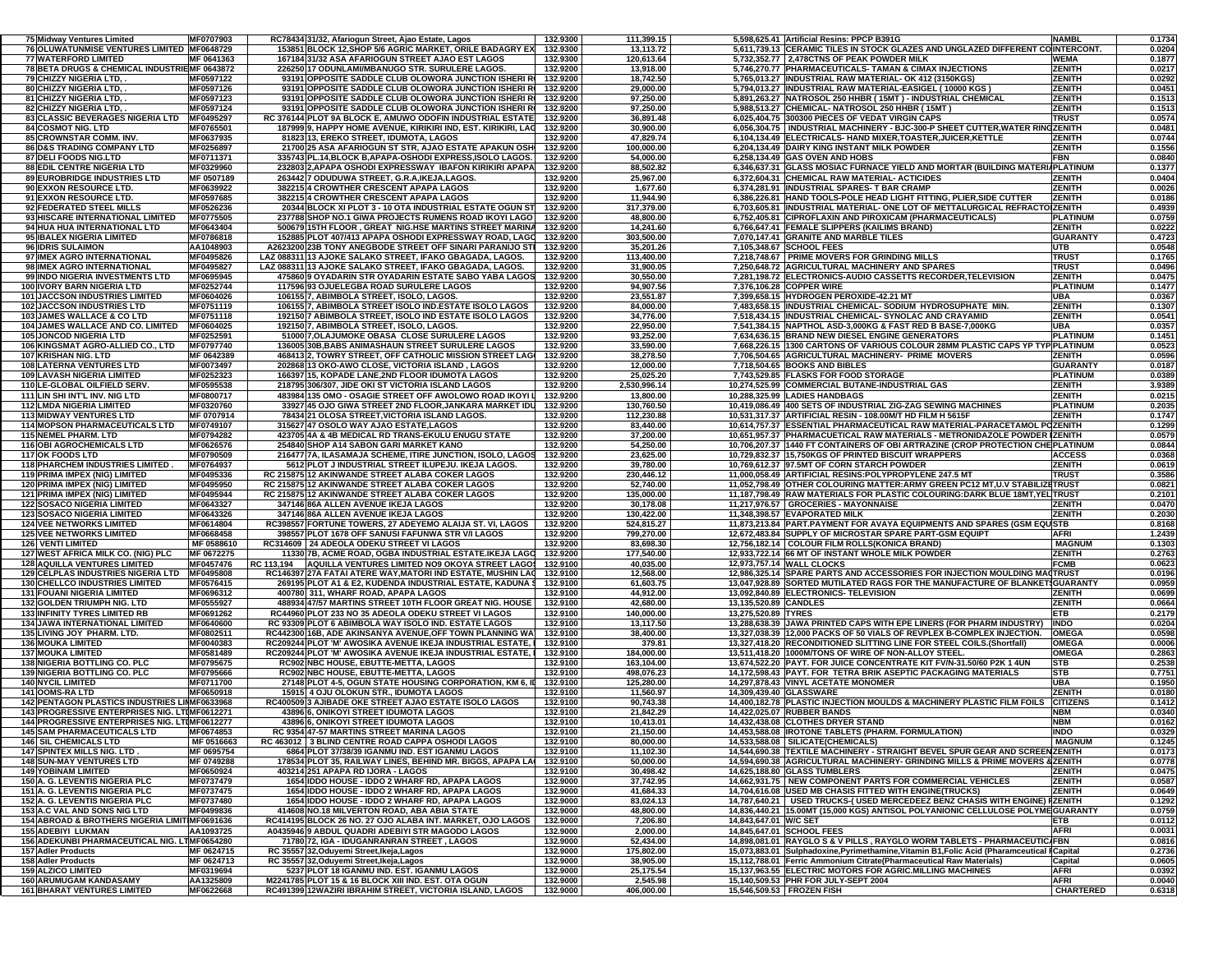| 75 Midway Ventures Limited                                                | MF0707903                | RC78434 31/32, Afariogun Street, Ajao Estate, Lagos                                                             | 132.9300             | 111,399.15              | 5,598,625.41 Artificial Resins: PPCP B391G                                                                                                                  | <b>NAMBL</b>             | 0.1734           |
|---------------------------------------------------------------------------|--------------------------|-----------------------------------------------------------------------------------------------------------------|----------------------|-------------------------|-------------------------------------------------------------------------------------------------------------------------------------------------------------|--------------------------|------------------|
| 76 OLUWATUNMISE VENTURES LIMITED MF0648729                                |                          | 153851 BLOCK 12, SHOP 5/6 AGRIC MARKET, ORILE BADAGRY EX                                                        | 132.9300             | 13,113.72               | 5,611,739.13 CERAMIC TILES IN STOCK GLAZES AND UNGLAZED DIFFERENT COINTERCONT.                                                                              |                          | 0.0204           |
| 77 WATERFORD LIMITED                                                      | MF 0641363               | 167184 31/32 ASA AFARIOGUN STREET AJAO EST LAGOS                                                                | 132.9300             | 120,613.64              | 5,732,352.77 2,478CTNS OF PEAK POWDER MILK                                                                                                                  | WEMA                     | 0.1877           |
| 78 BETA DRUGS & CHEMICAL INDUSTRIEMF 0643872                              |                          | 226250 17 ODUNLAMI/MBANUGO STR. SURULERE LAGOS.                                                                 | 132.9200             | 13,918.00               | 5,746,270.77 PHARMACEUTICALS- TAMAN & CIMAX INJECTIONS                                                                                                      | <b>ZENITH</b>            | 0.0217           |
| 79 CHIZZY NIGERIA LTD,                                                    | MF0597122                | 93191 OPPOSITE SADDLE CLUB OLOWORA JUNCTION ISHERI RI                                                           | 132.9200             | 18,742.50               | 5,765,013.27 INDUSTRIAL RAW MATERIAL- OK 412 (3150KGS)                                                                                                      | ZENITH                   | 0.0292           |
| 80 CHIZZY NIGERIA LTD,                                                    | MF0597126                | 93191 OPPOSITE SADDLE CLUB OLOWORA JUNCTION ISHERI RI                                                           | 132.9200             | 29,000.00               | 5,794,013.27 INDUSTRIAL RAW MATERIAL-EASIGEL (10000 KGS                                                                                                     | ZENITH                   | 0.0451           |
| 81 CHIZZY NIGERIA LTD,                                                    | MF0597123                | 93191 OPPOSITE SADDLE CLUB OLOWORA JUNCTION ISHERI RI                                                           | 132.9200             | 97,250.00               | 5,891,263.27 NATROSOL 250 HHBR (15MT) - INDUSTRIAL CHEMICAL                                                                                                 | ZENITH                   | 0.1513           |
| 82 CHIZZY NIGERIA LTD,                                                    | MF0597124                | 93191 OPPOSITE SADDLE CLUB OLOWORA JUNCTION ISHERI RI                                                           | 132.9200             | 97,250.00               | 5,988,513.27 CHEMICAL- NATROSOL 250 HHBR (15MT)                                                                                                             | ZENITH                   | 0.1513           |
| <b>83 CLASSIC BEVERAGES NIGERIA LTD</b>                                   | MF0495297                | RC 376144 PLOT 9A BLOCK E, AMUWO ODOFIN INDUSTRIAL ESTATE                                                       | 132.9200             | 36,891.48               | 6.025.404.75 300300 PIECES OF VEDAT VIRGIN CAPS                                                                                                             | <b>TRUS1</b>             | 0.0574           |
| 84 COSMOT NIG. LTD                                                        | MF0765501                | 187999 9, HAPPY HOME AVENUE, KIRIKIRI IND, EST. KIRIKIRI, LAG                                                   | 132.9200             | 30,900.00               | 6,056,304.75 INDUSTRIAL MACHINERY - BJC-300-P SHEET CUTTER, WATER RINGZENITH                                                                                |                          | 0.0481           |
| 85 CROWNSTAR COMM. INV.                                                   | MF0637935                | 81823 13, EREKO STREET, IDUMOTA, LAGOS                                                                          | 132.9200             | 47,829.74               | 6,104,134.49 ELECTRICALS- HAND MIXER, TOASTER, JUICER, KETTLE                                                                                               | ZENITH                   | 0.0744           |
| <b>86 D&amp;S TRADING COMPANY LTD</b>                                     | MF0256897                | 21700 25 ASA AFARIOGUN ST STR. AJAO ESTATE APAKUN OSH                                                           | 132.9200             | 100,000.00              | 6,204,134.49 DAIRY KING INSTANT MILK POWDER                                                                                                                 | ZENITH                   | 0.1556           |
| 87 DELI FOODS NIG.LTD                                                     | MF0711371                | 335743 PL.14, BLOCK B, APAPA-OSHODI EXPRESS, ISOLO LAGOS.                                                       | 132.9200             | 54,000.00               | 6,258,134.49 GAS OVEN AND HOBS                                                                                                                              | FBN                      | 0.0840           |
| 88 EDIL CENTRE NIGERIA LTD                                                | MF0329960                | 232803 2, APAPA OSHODI EXPRESSWAY IBAFON KIRIKIRI APAPA                                                         | 132.9200<br>132.9200 | 88,502.82               | 6,346,637.31 GLASS MOSIAC FURNACE YIELD AND MORTAR (BUILDING MATER)                                                                                         | <b>IPLATINUM</b>         | 0.1377           |
| 89 EUROBRIDGE INDUSTRIES LTD<br>90 EXXON RESOURCE LTD.                    | MF 0507189<br>MF0639922  | 263442 7 ODUDUWA STREET, G.R.A, IKEJA, LAGOS.                                                                   | 132.9200             | 25,967.00               | 6,372,604.31 CHEMICAL RAW MATERIAL- ACTICIDES                                                                                                               | ZENITH<br>ZENITH         | 0.0404<br>0.0026 |
| 91 EXXON RESOURCE LTD.                                                    | MF0597685                | 382215 4 CROWTHER CRESCENT APAPA LAGOS<br>382215 4 CROWTHER CRESCENT APAPA LAGOS                                | 132.9200             | 1,677.60<br>11,944.90   | 6,374,281.91 INDUSTRIAL SPARES- T BAR CRAMP<br>6,386,226.81 HAND TOOLS-POLE HEAD LIGHT FITTING, PLIER, SIDE CUTTER                                          | ZENITH                   | 0.0186           |
| 92 FEDERATED STEEL MILLS                                                  | MF0526236                | 20344 BLOCK XI PLOT 3 - 10 OTA INDUSTRIAL ESTATE OGUN ST                                                        | 132.9200             | 317,379.00              | 6,703,605.81 IINDUSTRIAL MATERIAL- ONE LOT OF METTALURGICAL REFRACTOIZENITH                                                                                 |                          | 0.4939           |
| 93 HISCARE INTERNATIONAL LIMITED                                          | MF0775505                | 237788 SHOP NO.1 GIWA PROJECTS RUMENS ROAD IKOYI LAGO                                                           | 132.9200             | 48,800.00               | 6,752,405.81 CIPROFLAXIN AND PIROXICAM (PHARMACEUTICALS)                                                                                                    | <b>PLATINUM</b>          | 0.0759           |
| 94 HUA HUA INTERNATIONAL LTD                                              | MF0643404                | 500679 15TH FLOOR . GREAT NIG HSE MARTINS STREET MARINA                                                         | 132.9200             | 14,241.60               | 6,766,647.41 FEMALE SLIPPERS (KAILIMS BRAND)                                                                                                                | ZENITH                   | 0.0222           |
| 95 IBALEX NIGERIA LIMITED                                                 | MF0786818                | 152885 PLOT 407/413 APAPA OSHODI EXPRESSWAY ROAD, LAGO                                                          | 132.9200             | 303,500.00              | 7.070.147.41 GRANITE AND MARBLE TILES                                                                                                                       | <b>GUARANTY</b>          | 0.4723           |
| 96 IDRIS SULAIMON                                                         | AA1048903                | A2623200 23B TONY ANEGBODE STREET OFF SINARI PARANIJO STI                                                       | 132.9200             | 35,201.26               | 7,105,348.67 SCHOOL FEES                                                                                                                                    | UTB                      | 0.0548           |
| 97 IMEX AGRO INTERNATIONAL                                                | MF0495826                | LAZ 088311 13 AJOKE SALAKO STREET, IFAKO GBAGADA, LAGOS.                                                        | 132.9200             | 113,400.00              | 7,218,748.67 PRIME MOVERS FOR GRINDING MILLS                                                                                                                | <b>TRUST</b>             | 0.1765           |
| 98 IMEX AGRO INTERNATIONAL                                                | MF0495827                | LAZ 088311 13 AJOKE SALAKO STREET, IFAKO GBAGADA, LAGOS.                                                        | 132.9200             | 31,900.05               | 7,250,648.72 AGRICULTURAL MACHINERY AND SPARES                                                                                                              | <b>TRUST</b>             | 0.0496           |
| 99 INDO NIGERIA INVESTMENTS LTD                                           | MF0695945                | 475860 9 OYADARIN STR OYADARIN ESTATE SABO YABA LAGOS                                                           | 132.9200             | 30,550.00               | 7,281,198.72 ELECTRONICS-AUDIO CASSETTS RECORDER,TELEVISION                                                                                                 | <b>ZENITH</b>            | 0.0475           |
| 100 IVORY BARN NIGERIA LTD                                                | MF0252744                | 117596 93 OJUELEGBA ROAD SURULERE LAGOS                                                                         | 132.9200             | 94,907.56               | 7,376,106.28 COPPER WIRE                                                                                                                                    | PLATINUM                 | 0.1477           |
| <b>101 JACCSON INDUSTRIES LIMITED</b>                                     | MF0604026                | 106155 7, ABIMBOLA STREET, ISOLO, LAGOS.                                                                        | 132.9200             | 23,551.87               | 7,399,658.15 HYDROGEN PEROXIDE-42.21 MT                                                                                                                     | UBA                      | 0.0367           |
| <b>102 JACCSON INDUSTRIES LTD</b>                                         | MF0751119                | 106155 7, ABIMBOLA STREET ISOLO IND ESTATE ISOLO LAGOS                                                          | 132.9200             | 84,000.00               | 7,483,658.15 INDUSTRIAL CHEMICAL- SODIUM HYDROSUPHATE MIN.                                                                                                  | ZENITH                   | 0.1307           |
| <b>103 JAMES WALLACE &amp; CO LTD</b>                                     | MF0751118                | 192150 7 ABIMBOLA STREET, ISOLO IND ESTATE ISOLO LAGOS                                                          | 132.9200             | 34,776.00               | 7,518,434.15 INDUSTRIAL CHEMICAL-SYNOLAC AND CRAYAMID                                                                                                       | ZENITH                   | 0.0541           |
| 104 JAMES WALLACE AND CO. LIMITED                                         | MF0604025                | 192150 7, ABIMBOLA STREET, ISOLO, LAGOS.                                                                        | 132.9200             | 22,950.00               | 7,541,384.15 NAPTHOL ASD-3,000KG & FAST RED B BASE-7,000KG                                                                                                  | UBA                      | 0.0357           |
| <b>105 JONCOD NIGERIA LTD</b>                                             | MF0252591                | 51000 7, OLAJUMOKE OBASA CLOSE SURULERE LAGOS                                                                   | 132.9200             | 93,252.00               | 7,634,636.15 BRAND NEW DIESEL ENGINE GENERATORS                                                                                                             | <b>PLATINUM</b>          | 0.1451           |
| 106 KINGSMAT AGRO-ALLIED CO., LTD                                         | MF0797740                | 136005 30B, BABS ANIMASHAUN STREET SURULERE LAGOS                                                               | 132.9200             | 33,590.00               | 7,668,226.15 1300 CARTONS OF VARIOUS COLOUR 28MM PLASTIC CAPS YP TYP PLATINUM                                                                               |                          | 0.0523           |
| 107 KRISHAN NIG. LTD                                                      | MF 0642389               | 468413 2, TOWRY STREET, OFF CATHOLIC MISSION STREET LAG                                                         | 132.9200             | 38,278.50               | 7,706,504.65 AGRICULTURAL MACHINERY- PRIME MOVERS                                                                                                           | ZENITH                   | 0.0596           |
| <b>108 LATERNA VENTURES LTD</b>                                           | MF0073497                | 202868 13 OKO-AWO CLOSE, VICTORIA ISLAND, LAGOS                                                                 | 132.9200             | 12,000.00               | 7.718.504.65 BOOKS AND BIBLES                                                                                                                               | <b>GUARANTY</b>          | 0.0187           |
| <b>109 LAVASH NIGERIA LIMITED</b>                                         | MF0252323                | 166397 15, KOPADE LANE, 2ND FLOOR IDUMOTA LAGOS                                                                 | 132.9200             | 25,025.20               | 7,743,529.85 FLASKS FOR FOOD STORAGE                                                                                                                        | <b>PLATINUM</b>          | 0.0389           |
| 110 LE-GLOBAL OILFIELD SERV.                                              | MF0595538                | 218795 306/307, JIDE OKI ST VICTORIA ISLAND LAGOS                                                               | 132.9200             | 2,530,996.14            | 10,274,525.99 COMMERCIAL BUTANE-INDUSTRIAL GAS                                                                                                              | <b>ZENITH</b>            | 3.9389           |
| 111 LIN SHI INT'L INV. NIG LTD                                            | MF0800717                | 483984 135 OMO - OSAGIE STREET OFF AWOLOWO ROAD IKOYI L                                                         | 132.9200             | 13,800.00               | 10,288,325.99 LADIES HANDBAGS                                                                                                                               | ZENITH                   | 0.0215           |
| <b>112 LMDA NIGERIA LIMITED</b>                                           | MF0320760                | 33927 45 OJO GIWA STREET 2ND FLOOR JANKARA MARKET IDU                                                           | 132.9200             | 130,760.50              | 10,419,086.49 400 SETS OF INDUSTRIAL ZIG-ZAG SEWING MACHINES                                                                                                | <b>PLATINUM</b>          | 0.2035           |
| <b>113 MIDWAY VENTURES LTD</b>                                            | MF 0707914               | 78434 21 OLOSA STREET, VICTORIA ISLAND LAGOS.                                                                   | 132.9200             | 112,230.88              | 10.531.317.37 ARTIFICIAL RESIN - 108.00M/T HD FILM H 5615F                                                                                                  | <b>ZENITH</b>            | 0.1747           |
| <b>114 MOPSON PHARMACEUTICALS LTD</b>                                     | MF0749107                | 315627 47 OSOLO WAY AJAO ESTATE,LAGOS                                                                           | 132.9200             | 83,440.00               | 10,614,757.37 ESSENTIAL PHARMACEUTICAL RAW MATERIAL-PARACETAMOL POZENITH                                                                                    |                          | 0.1299           |
| <b>115 NEMEL PHARM. LTD</b>                                               | MF0794282                | 423705 4A & 4B MEDICAL RD TRANS-EKULU ENUGU STATE                                                               | 132.9200             | 37,200.00               | 10,651,957.37 PHARMACUETICAL RAW MATERIALS - METRONIDAZOLE POWDER (ZENITH                                                                                   |                          | 0.0579           |
| <b>116 OBI AGROCHEMICALS LTD</b>                                          | MF0626576                | 254840 SHOP A14 SABON GARI MARKET KANO                                                                          | 132.9200<br>132.9200 | 54,250.00               | 10,706,207.37 1440 FT CONTAINERS OF OBI ARTRAZINE (CROP PROTECTION CHEPLATINUM<br>10.729.832.37 15.750KGS OF PRINTED BISCUIT WRAPPERS                       |                          | 0.0844           |
| <b>117 OK FOODS LTD</b>                                                   | MF0790509<br>MF0764937   | 216477 7A, ILASAMAJA SCHEME, ITIRE JUNCTION, ISOLO, LAGOS                                                       |                      | 23,625.00               |                                                                                                                                                             | <b>ACCESS</b><br>ZENITH  | 0.0368           |
| <b>118 PHARCHEM INDUSTRIES LIMITED .</b><br>119 PRIMA IMPEX (NIG) LIMITED | MF0495336                | 5612 PLOT J INDUSTRIAL STREET ILUPEJU. IKEJA LAGOS.<br>RC 215875 12 AKINWANDE STREET ALABA COKER LAGOS          | 132.9200<br>132.9200 | 39,780.00<br>230,446.12 | 10,769,612.37 97.5MT OF CORN STARCH POWDER<br>11.000.058.49 ARTIFICIAL RESINS:POLYPROPYLENE 247.5 MT                                                        | <b>TRUST</b>             | 0.0619<br>0.3586 |
| 120 PRIMA IMPEX (NIG) LIMITED                                             | MF0495950                | RC 215875 12 AKINWANDE STREET ALABA COKER LAGOS                                                                 | 132.9200             | 52,740.00               | 11,052,798.49 OTHER COLOURING MATTER:ARMY GREEN PC12 MT,U.V STABILIZETRUST                                                                                  |                          | 0.0821           |
| 121 PRIMA IMPEX (NIG) LIMITED                                             | MF0495944                | RC 215875 12 AKINWANDE STREET ALABA COKER LAGOS                                                                 | 132.9200             | 135,000.00              | 11,187,798.49 RAW MATERIALS FOR PLASTIC COLOURING:DARK BLUE 18MT, YEL TRUST                                                                                 |                          | 0.2101           |
| <b>122 SOSACO NIGERIA LIMITED</b>                                         | MF0643327                | 347146 86A ALLEN AVENUE IKEJA LAGOS                                                                             | 132.9200             | 30,178.08               | 11,217,976.57 GROCERIES - MAYONNAISE                                                                                                                        | ZENITH                   | 0.0470           |
| <b>123 SOSACO NIGERIA LIMITED</b>                                         | MF0643326                | 347146 86A ALLEN AVENUE IKEJA LAGOS                                                                             | 132.9200             | 130,422.00              | 11,348,398.57 EVAPORATED MILK                                                                                                                               | ZENITH                   | 0.2030           |
| <b>124 VEE NETWORKS LIMITED</b>                                           | MF0614804                | RC398557 FORTUNE TOWERS, 27 ADEYEMO ALAIJA ST. VI, LAGOS                                                        | 132.9200             | 524,815.27              | 11,873,213.84 PART.PAYMENT FOR AVAYA EQUIPMENTS AND SPARES (GSM EQUISTB                                                                                     |                          | 0.8168           |
| <b>125 VEE NETWORKS LIMITED</b>                                           | MF0668458                | 398557 PLOT 1678 OFF SANUSI FAFUNWA STR V/I LAGOS                                                               | 132.9200             | 799,270.00              |                                                                                                                                                             |                          | 1.2439           |
| 126 VENTI LIMITED                                                         | MF 0588610               |                                                                                                                 | 132.9200             |                         | 12,672,483.84 SUPPLY OF MICROSTAR SPARE PART-GSM EQUIPT                                                                                                     | AFRI                     |                  |
|                                                                           |                          | RC314609 24 ADEOLA ODEKU STREET VI LAGOS                                                                        |                      | 83,698.30               |                                                                                                                                                             | <b>MAGNUM</b>            | 0.1303           |
| 127 WEST AFRICA MILK CO. (NIG) PLC                                        | MF 0672275               | 11330 7B, ACME ROAD, OGBA INDUSTRIAL ESTATE.IKEJA LAGO                                                          | 132.9200             | 177,540.00              | 12,756,182.14 COLOUR FILM ROLLS(KONICA BRAND)<br>12,933,722.14 66 MT OF INSTANT WHOLE MILK POWDER                                                           | ZENITH                   | 0.2763           |
| 128 AQUILLA VENTURES LIMITED                                              | MF0457476                | RC 113,194<br>AQUILLA VENTURES LIMITED NO9 OKOYA STREET LAGO!                                                   | 132.9100             | 40,035.00               | 12,973,757.14 WALL CLOCKS                                                                                                                                   | <b>FCMB</b>              | 0.0623           |
| 129 CELPLAS INDUSTRIES NIGERIA LTD                                        | MF0495808                | RC146397 27A FATAI ATERE WAY, MATORI IND ESTATE, MUSHIN LAC                                                     | 132.9100             | 12,568.00               | 12,986,325.14 SPARE PARTS AND ACCESSORIES FOR INJECTION MOULDING MA(TRUST                                                                                   |                          | 0.0196           |
| <b>130 CHELLCO INDUSTRIES LIMITED</b>                                     | MF0576415                | 269195 PLOT A1 & E2, KUDENDA INDUSTRIAL ESTATE, KADUNA \$                                                       | 132.9100             | 61,603.75               | 13,047,928.89 SORTED MUTILATED RAGS FOR THE MANUFACTURE OF BLANKET\$GUARANTY                                                                                |                          | 0.0959           |
| 131 FOUANI NIGERIA LIMITED                                                | MF0696312                | 400780 311, WHARF ROAD, APAPA LAGOS                                                                             | 132.9100             | 44,912.00               | 13,092,840.89 ELECTRONICS- TELEVISION                                                                                                                       | <b>ZENITH</b>            | 0.0699           |
| 132 GOLDEN TRIUMPH NIG. LTD                                               | MF0555927                | 488934 47/57 MARTINS STREET 10TH FLOOR GREAT NIG. HOUSE                                                         | 132.9100             | 42,680.00               | 13,135,520.89 CANDLES                                                                                                                                       | ZENITH                   | 0.0664           |
| <b>133 INFINITY TYRES LIMITED RB</b>                                      | MF0691262                | RC44960 PLOT 233 NO 35 ADEOLA ODEKU STREET VI LAGOS                                                             | 132.9100             | 140,000.00              | 13,275,520.89 TYRES                                                                                                                                         | ETB                      | 0.2179           |
| 134 JAWA INTERNATIONAL LIMITED                                            | MF0640600                | RC 93309 PLOT 6 ABIMBOLA WAY ISOLO IND. ESTATE LAGOS                                                            | 132.9100             | 13,117.50               | 13,288,638.39 JAWA PRINTED CAPS WITH EPE LINERS (FOR PHARM INDUSTRY)                                                                                        | <b>INDO</b>              | 0.0204           |
| 135 LIVING JOY PHARM. LTD.                                                | MF0802511                | RC442300 16B, ADE AKINSANYA AVENUE, OFF TOWN PLANNING WA                                                        | 132.9100             | 38,400.00               | 13,327,038.39 12,000 PACKS OF 50 VIALS OF REVPLEX B-COMPLEX INJECTION.                                                                                      | <b>OMEGA</b>             | 0.0598           |
| <b>136 MOUKA LIMITED</b>                                                  | MF0040383                | RC209244 PLOT 'M' AWOSIKA AVENUE IKEJA INDUSTRIAL ESTATE,                                                       | 132.9100             | 379.81                  | 13,327,418.20 RECONDITIONED SLITTING LINE FOR STEEL COILS. (Shortfall)                                                                                      | <b>OMEGA</b>             | 0.0006           |
| <b>137 MOUKA LIMITED</b>                                                  | MF0581489                | RC209244 PLOT 'M' AWOSIKA AVENUE IKEJA INDUSTRIAL ESTATE.                                                       | 132.9100             | 184,000.00              | 13.511.418.20 1000M/TONS OF WIRE OF NON-ALLOY STEEL                                                                                                         | <b>OMEGA</b>             | 0.2863           |
| <b>138 NIGERIA BOTTLING CO. PLC</b>                                       | MF0795675                | RC902 NBC HOUSE, EBUTTE-METTA, LAGOS                                                                            | 132.9100             | 163,104.00              | 13,674,522.20 PAYT. FOR JUICE CONCENTRATE KIT FV/N-31.50/60 P2K 1 4UN                                                                                       | STB                      | 0.2538           |
| <b>139 NIGERIA BOTTLING CO. PLC</b>                                       | MF0795666                | RC902 NBC HOUSE, EBUTTE-METTA, LAGOS                                                                            | 132.9100             | 498,076.23              | 14,172,598.43 PAYT. FOR TETRA BRIK ASEPTIC PACKAGING MATERIALS                                                                                              | STB                      | 0.7751           |
| <b>140 NYCIL LIMITED</b>                                                  | MF0711700                | 27148 PLOT 4-5, OGUN STATE HOUSING CORPORATION, KM 6, II                                                        | 132.9100             | 125,280.00              | 14,297,878.43 VINYL ACETATE MONOMER                                                                                                                         | UBA                      | 0.1950           |
| <b>141 OOMS-RA LTD</b>                                                    | MF0650918                | 15915 4 OJU OLOKUN STR., IDUMOTA LAGOS                                                                          | 132.9100             | 11,560.97               | 14,309,439.40 GLASSWARE                                                                                                                                     | ZENITH                   | 0.0180           |
| <b>142 PENTAGON PLASTICS INDUSTRIES LIMMF0633968</b>                      |                          | RC400509 3 AJIBADE OKE STREET AJAO ESTATE ISOLO LAGOS                                                           | 132.9100             | 90,743.38               | 14,400,182.78 PLASTIC INJECTION MOULDS & MACHINERY PLASTIC FILM FOILS                                                                                       | <b>CITIZENS</b>          | 0.1412           |
| <b>143 PROGRESSIVE ENTERPRISES NIG. LTIMF0612271</b>                      |                          | 43896 6, ONIKOYI STREET IDUMOTA LAGOS                                                                           | 132.9100             | 21,842.29               | 14,422,025.07 RUBBER BANDS                                                                                                                                  | NBM                      | 0.0340           |
| <b>144 PROGRESSIVE ENTERPRISES NIG. LTIMF0612277</b>                      |                          | 43896 6, ONIKOYI STREET IDUMOTA LAGOS                                                                           | 132.9100             | 10,413.01               | 14,432,438.08 CLOTHES DRYER STAND                                                                                                                           | <b>NBM</b>               | 0.0162           |
| 145 SAM PHARMACEUTICALS LTD                                               | MF0674853                | RC 9354 47-57 MARTINS STREET MARINA LAGOS<br>RC 463012 3 BLIND CENTRE ROAD CAPPA OSHODI LAGOS                   | 132.9100             | 21.150.00               | 14.453.588.08 IROTONE TABLETS (PHARM, FORMULATION)                                                                                                          | <b>INDO</b>              | 0.0329           |
| <b>146 SIL CHEMICALS LTD</b><br>147 SPINTEX MILLS NIG. LTD.               | MF 0516663<br>MF 0695754 | 6864 PLOT 37/38/39 IGANMU IND. EST IGANMU LAGOS                                                                 | 132.9100<br>132.9100 | 80,000.00<br>11,102.30  | 14,533,588.08 SILICATE(CHEMICALS)                                                                                                                           | <b>MAGNUM</b>            | 0.1245           |
| <b>148 SUN-MAY VENTURES LTD</b>                                           | MF 0749288               | 178534 PLOT 35, RAILWAY LINES, BEHIND MR. BIGGS, APAPA LA                                                       | 132.9100             | 50,000.00               | 14,544,690.38 TEXTILE MACHINERY - STRAIGHT BEVEL SPUR GEAR AND SCREENZENITH<br>14,594,690.38 AGRICULTURAL MACHINERY- GRINDING MILLS & PRIME MOVERS & ZENITH |                          | 0.0173<br>0.0778 |
| 149 YOBINAM LIMITED                                                       | MF0650924                | 403214 251 APAPA RD IJORA - LAGOS                                                                               | 132.9100             | 30,498.42               | 14.625.188.80 GLASS TUMBLERS                                                                                                                                | ZENITH                   | 0.0475           |
| 150 A. G. LEVENTIS NIGERIA PLC                                            | MF0737479                | 1654 IDDO HOUSE - IDDO 2 WHARF RD. APAPA LAGOS                                                                  | 132.9000             | 37,742.95               | 14,662,931.75 NEW COMPONENT PARTS FOR COMMERCIAL VEHICLES                                                                                                   | ZENITH                   | 0.0587           |
| 151 A. G. LEVENTIS NIGERIA PLC                                            | MF0737475                | 1654 IDDO HOUSE - IDDO 2 WHARF RD, APAPA LAGOS                                                                  | 132.9000             | 41,684.33               | 14,704,616.08 USED MB CHASIS FITTED WITH ENGINE(TRUCKS)                                                                                                     | <b>ZENITH</b>            | 0.0649           |
| 152 A. G. LEVENTIS NIGERIA PLC                                            | MF0737480                | 1654 IDDO HOUSE - IDDO 2 WHARF RD, APAPA LAGOS                                                                  | 132.9000             | 83,024.13               | 14,787,640.21   USED TRUCKS-( USED MERCEDEEZ BENZ CHASIS WITH ENGINE) FZENITH                                                                               |                          | 0.1292           |
| <b>153 A.C VAL AND SONS NIG LTD</b>                                       | MF0499836                | 414608 NO.18 MILVERTON ROAD, ABA ABIA STATE                                                                     | 132.9000             | 48,800.00               | 14,836,440.21 15.00MT (15,000 KGS) ANTISOL POLYANIONIC CELLULOSE POLYME GUARANTY                                                                            |                          | 0.0759           |
| 154 ABROAD & BROTHERS NIGERIA LIMITIMF0691636                             |                          | RC414195 BLOCK 26 NO. 27 OJO ALABA INT. MARKET, OJO LAGOS                                                       | 132.9000             | 7,206.80                | 14,843,647.01 W/C SET                                                                                                                                       | ETB                      | 0.0112           |
| 155 ADEBIYI LUKMAN                                                        | AA1093725                | A0435946 9 ABDUL QUADRI ADEBIYI STR MAGODO LAGOS                                                                | 132.9000             | 2,000.00                | 14,845,647.01 SCHOOL FEES                                                                                                                                   | <b>AFRI</b>              | 0.0031           |
| 156 ADEKUNBI PHARMACEUTICAL NIG. LTMF0654280                              |                          | 71780 72, IGA - IDUGANRANRAN STREET, LAGOS                                                                      | 132.9000             | 52,434.00               | 14,898,081.01 RAYGLO S & V PILLS, RAYGLO WORM TABLETS - PHARMACEUTIC/FBN                                                                                    |                          | 0.0816           |
| <b>157 Adler Products</b>                                                 | MF 0624715               | RC 35557 32, Oduyemi Street, Ikeja, Lagos                                                                       | 132.9000             | 175,802.00              | 15,073,883.01 Sulphadoxine, Pyrimethamine, Vitamin B1, Folic Acid (Pharamceutical I Capital                                                                 |                          | 0.2736           |
| <b>158 Adler Products</b>                                                 | MF 0624713               | RC 35557 32, Oduyemi Street, Ikeja, Lagos                                                                       | 132.9000             | 38,905.00               | 15.112.788.01 Ferric Ammonium Citrate (Pharmaceutical Raw Materials)                                                                                        | Capital                  | 0.0605           |
| <b>159 ALZICO LIMITED</b>                                                 | MF0319694                | 5237 PLOT 18 IGANMU IND. EST. IGANMU LAGOS                                                                      | 132.9000             | 25,175.54               | 15.137.963.55 ELECTRIC MOTORS FOR AGRIC.MILLING MACHINES                                                                                                    | AFRI                     | 0.0392           |
| <b>160 ARUMUGAM KANDASAMY</b><br><b>161 BHARAT VENTURES LIMITED</b>       | AA1325809<br>MF0622668   | M2241785 PLOT 15 & 16 BLOCK XIII IND. EST. OTA OGUN<br>RC491399 12WAZIRI IBRAHIM STREET, VICTORIA ISLAND, LAGOS | 132.9000<br>132.9000 | 2,545.98<br>406,000.00  | 15,140,509.53 PHR FOR JULY-SEPT 2004<br>15.546.509.53 FROZEN FISH                                                                                           | AFRI<br><b>CHARTERED</b> | 0.0040<br>0.6318 |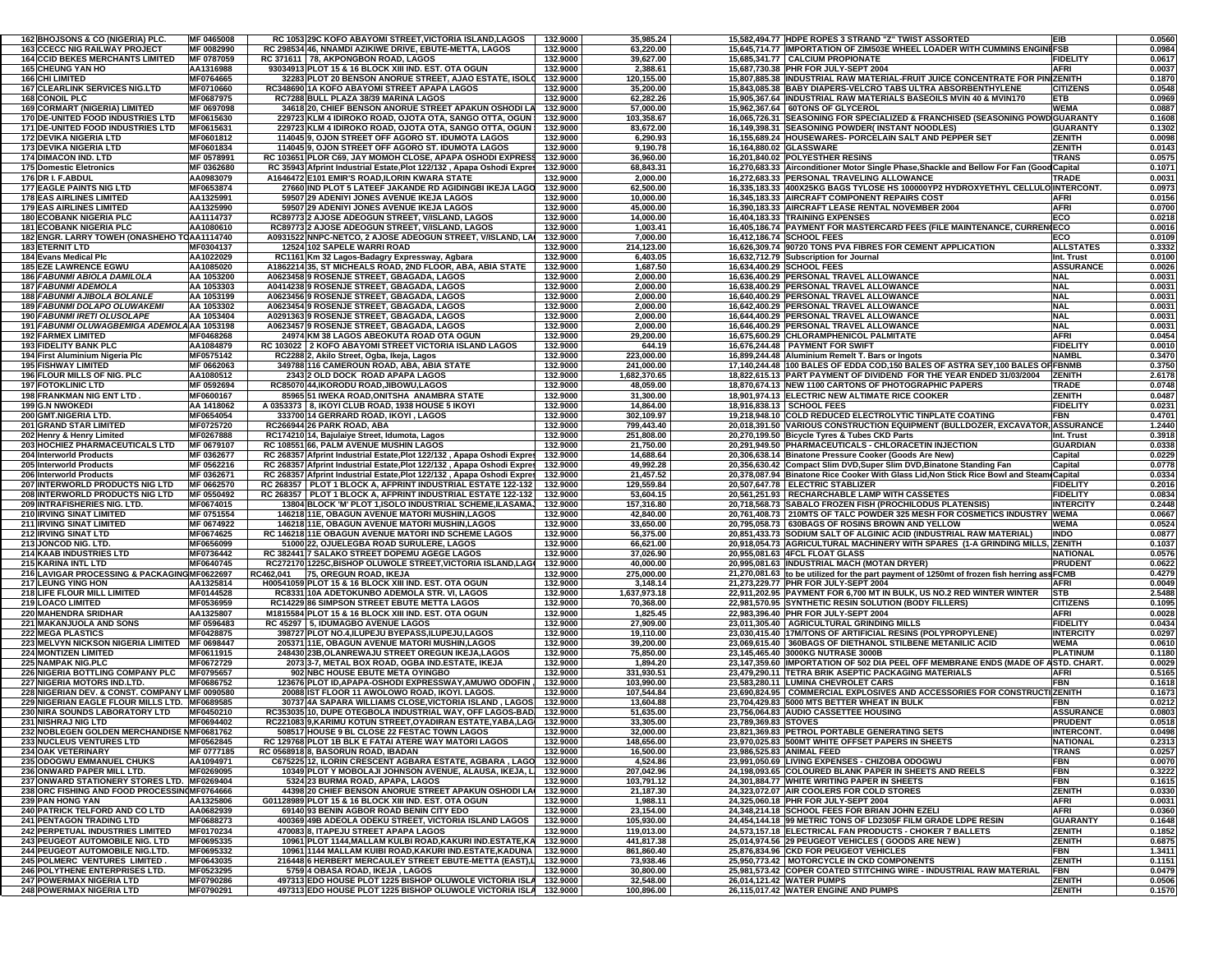| 162 BHOJSONS & CO (NIGERIA) PLC                                                     | MF 0465008                    |           | RC 1053 29C KOFO ABAYOMI STREET.VICTORIA ISLAND.LAGOS                                                                                | 132.9000             | 35,985.24               | 15.582.494.77 HDPE ROPES 3 STRAND "Z" TWIST ASSORTED<br>EIB                                        |                                 | 0.0560           |
|-------------------------------------------------------------------------------------|-------------------------------|-----------|--------------------------------------------------------------------------------------------------------------------------------------|----------------------|-------------------------|----------------------------------------------------------------------------------------------------|---------------------------------|------------------|
| <b>163 CCECC NIG RAILWAY PROJECT</b>                                                | MF 0082990                    |           | RC 298534 46, NNAMDI AZIKIWE DRIVE, EBUTE-METTA, LAGOS                                                                               | 132.9000             | 63,220.00               | 15,645,714.77 IMPORTATION OF ZIM503E WHEEL LOADER WITH CUMMINS ENGINEFSB                           |                                 | 0.0984           |
| <b>164 CCID BEKES MERCHANTS LIMITED</b>                                             | MF 0787059                    |           | RC 371611 78. AKPONGBON ROAD, LAGOS                                                                                                  | 132.9000             | 39,627.00               | 15.685.341.77 CALCIUM PROPIONATE                                                                   | <b>FIDELITY</b>                 | 0.0617           |
| <b>165 CHEUNG YAN HO</b>                                                            | AA1316988                     |           | 93034913 PLOT 15 & 16 BLOCK XIII IND. EST. OTA OGUN                                                                                  | 132.9000             | 2,388.61                | <b>AFRI</b><br>15,687,730.38 PHR FOR JULY-SEPT 2004                                                |                                 | 0.0037           |
| <b>166 CHI LIMITED</b>                                                              | MF0764665                     |           | 32283 PLOT 20 BENSON ANORUE STREET, AJAO ESTATE, ISOLO                                                                               | 132.9000             | 120,155.00              | 15,807,885.38 INDUSTRIAL RAW MATERIAL-FRUIT JUICE CONCENTRATE FOR PIN(ZENITH                       |                                 | 0.187            |
| <b>167 CLEARLINK SERVICES NIG.LTD</b>                                               | MF0710660                     |           | RC348690 1A KOFO ABAYOMI STREET APAPA LAGOS                                                                                          | 132.9000             | 35,200.00               | 15,843,085.38 BABY DIAPERS-VELCRO TABS ULTRA ABSORBENTHYLENE                                       | <b>CITIZENS</b>                 | 0.0548           |
| <b>168 CONOIL PLC</b>                                                               | MF0687975                     |           | RC7288 BULL PLAZA 38/39 MARINA LAGOS                                                                                                 | 132.9000             | 62,282.26               | 15,905,367.64 INDUSTRIAL RAW MATERIALS BASEOILS MVIN 40 & MVIN170<br><b>ETB</b>                    |                                 | 0.0969           |
| 169 CORMART (NIGERIA) LIMITED                                                       | MF 0697098                    |           | 34618 20, CHIEF BENSON ANORUE STREET APAKUN OSHODI LA                                                                                | 132.9000             | 57,000.00               | 15,962,367.64 60TONS OF GLYCEROL                                                                   | <b>WEMA</b>                     | 0.0887           |
| <b>170 DE-UNITED FOOD INDUSTRIES LTD</b>                                            | MF0615630                     |           | 229723 KLM 4 IDIROKO ROAD, OJOTA OTA, SANGO OTTA, OGUN                                                                               | 132.9000             | 103,358.67              | 16,065,726.31 SEASONING FOR SPECIALIZED & FRANCHISED (SEASONING POWD GUARANTY                      |                                 | 0.1608           |
| <b>171 DE-UNITED FOOD INDUSTRIES LTD</b>                                            | MF0615631                     |           | 229723 KLM 4 IDIROKO ROAD, OJOTA OTA, SANGO OTTA, OGUN                                                                               | 132.9000             | 83,672.00               | 16,149,398.31 SEASONING POWDER(INSTANT NOODLES)                                                    | <b>GUARANTY</b>                 | 0.1302           |
| <b>172 DEVIKA NIGERIA LTD</b>                                                       | MF0601812                     |           | 114045 9, OJON STREET OFF AGORO ST. IDUMOTA LAGOS                                                                                    | 132.9000             | 6,290.93                | 16,155,689.24 HOUSEWARES- PORCELAIN SALT AND PEPPER SET                                            | <b>ZENITH</b>                   | 0.0098           |
| 173 DEVIKA NIGERIA LTD                                                              | MF0601834                     |           | 114045 9, OJON STREET OFF AGORO ST. IDUMOTA LAGOS                                                                                    | 132.9000             | 9,190.78                | 16,164,880.02 GLASSWARE                                                                            | <b>ZENITH</b>                   | 0.0143           |
| 174 DIMACON IND. LTD                                                                | MF 0578991                    |           | RC 103651 PLOR C69, JAY MOMOH CLOSE, APAPA OSHODI EXPRESS                                                                            | 132.9000             | 36,960.00               | 16,201,840.02 POLYESTHER RESINS                                                                    | <b>TRANS</b>                    | 0.0575           |
| 175 Domestic Eletronics                                                             | MF 0362680                    |           | RC 35943 Afprint Industrial Estate, Plot 122/132, Apapa Oshodi Expres                                                                | 132.9000             | 68,843.31               | 16,270,683.33 Airconditioner Motor Single Phase, Shackle and Bellow For Fan (Good Capital          |                                 | 0.1071           |
| 176 DR I. F.ABDUL                                                                   | AA0983079                     |           | A1646472 E101 EMIR'S ROAD, ILORIN KWARA STATE                                                                                        | 132.9000             | 2,000.00                | 16,272,683.33 PERSONAL TRAVELING ALLOWANCE                                                         | <b>TRADE</b>                    | 0.0031           |
| <b>177 EAGLE PAINTS NIG LTD</b>                                                     | MF0653874                     |           | 27660 IND PLOT 5 LATEEF JAKANDE RD AGIDINGBI IKEJA LAGO                                                                              | 132.9000             | 62,500.00               | 16,335,183.33 400X25KG BAGS TYLOSE HS 100000YP2 HYDROXYETHYL CELLULO INTERCONT.                    |                                 | 0.0973           |
| <b>178 EAS AIRLINES LIMITED</b>                                                     | AA1325991                     |           | 59507 29 ADENIYI JONES AVENUE IKEJA LAGOS                                                                                            | 132.9000             | 10,000.00               | 16.345.183.33 AIRCRAFT COMPONENT REPAIRS COST<br><b>AFRI</b>                                       |                                 | 0.0156           |
| <b>179 EAS AIRLINES LIMITED</b>                                                     | AA1325990                     |           | 59507 29 ADENIYI JONES AVENUE IKEJA LAGOS                                                                                            | 132.9000             | 45,000.00               | 16,390,183.33 AIRCRAFT LEASE RENTAL NOVEMBER 2004<br><b>AFRI</b>                                   |                                 | 0.0700           |
| <b>180 ECOBANK NIGERIA PLC</b>                                                      | AA1114737                     |           | RC89773 2 AJOSE ADEOGUN STREET, V/ISLAND, LAGOS                                                                                      | 132.9000             | 14,000.00               | 16,404,183.33 TRAINING EXPENSES<br>ECO                                                             |                                 | 0.0218           |
| <b>181 ECOBANK NIGERIA PLC</b>                                                      | AA1080610                     |           | RC89773 2 AJOSE ADEOGUN STREET, V/ISLAND, LAGOS                                                                                      | 132.9000             | 1,003.41                | 16,405,186.74 PAYMENT FOR MASTERCARD FEES (FILE MAINTENANCE, CURREN(ECO                            |                                 | 0.0016           |
| 182 ENGR. LARRY TOWEH (ONASHEHO TOAA1114740                                         |                               |           | A0931522 NNPC-NETCO, 2 AJOSE ADEOGUN STREET, V/ISLAND, LA                                                                            | 132.9000             | 7,000.00                | ECO<br>16,412,186.74 SCHOOL FEES                                                                   |                                 | 0.0109           |
| <b>183 ETERNIT LTD</b>                                                              | MF0304137                     |           | 12524 102 SAPELE WARRI ROAD                                                                                                          | 132.9000             | 214,123.00              | 16,626,309.74 90720 TONS PVA FIBRES FOR CEMENT APPLICATION                                         | <b>ALLSTATES</b>                | 0.3332           |
| <b>184 Evans Medical Plc</b>                                                        | AA1022029                     |           | RC1161 Km 32 Lagos-Badagry Expressway, Agbara                                                                                        | 132.9000             | 6,403.05                | 16,632,712.79 Subscription for Journal                                                             | Int. Trust                      | 0.0100           |
| <b>185 EZE LAWRENCE EGWU</b>                                                        | AA1085020                     |           | A1862214 35, ST MICHEALS ROAD, 2ND FLOOR, ABA, ABIA STATE                                                                            | 132.9000             | 1,687.50                | 16,634,400.29 SCHOOL FEES                                                                          | <b>ASSURANCE</b>                | 0.0026           |
| 186 FABUNMI ABIOLA DAMILOLA                                                         | AA 1053200                    |           | A0623458 9 ROSENJE STREET, GBAGADA, LAGOS                                                                                            | 132.9000             | 2,000.00                | 16,636,400.29 PERSONAL TRAVEL ALLOWANCE<br><b>NAL</b>                                              |                                 | 0.0031           |
| 187 FABUNMI ADEMOLA                                                                 | AA 1053303                    |           | A0414238 9 ROSENJE STREET, GBAGADA, LAGOS                                                                                            | 132.9000             | 2,000.00                | 16,638,400.29 PERSONAL TRAVEL ALLOWANCE<br><b>NAL</b>                                              |                                 | 0.0031           |
| 188 FABUNMI AJIBOLA BOLANLE                                                         | AA 1053199                    |           | A0623456 9 ROSENJE STREET, GBAGADA, LAGOS                                                                                            | 132.9000             | 2,000.00                | 16,640,400.29 PERSONAL TRAVEL ALLOWANCE<br><b>NAL</b>                                              |                                 | 0.0031           |
| 189 FABUNMI DOLAPO OLUWAKEMI                                                        | AA 1053302                    |           | A0623454 9 ROSENJE STREET, GBAGADA, LAGOS                                                                                            | 132.9000             | 2,000.00                | 16,642,400.29 PERSONAL TRAVEL ALLOWANCE<br><b>NAL</b>                                              |                                 | 0.0031           |
| 190 FABUNMI IRETI OLUSOLAPE                                                         | AA 1053404                    |           | A0291363 9 ROSENJE STREET, GBAGADA, LAGOS                                                                                            | 132.9000             | 2,000.00                | 16,644,400.29 PERSONAL TRAVEL ALLOWANCE<br><b>NAL</b>                                              |                                 | 0.0031           |
| 191 FABUNMI OLUWAGBEMIGA ADEMOLAAA 1053198                                          |                               |           | A0623457 9 ROSENJE STREET, GBAGADA, LAGOS                                                                                            | 132.9000             | 2,000.00                | <b>NAL</b><br>16,646,400.29 PERSONAL TRAVEL ALLOWANCE                                              |                                 | 0.0031           |
| <b>192 FARMEX LIMITED</b>                                                           | MF0468268                     |           | 24974 KM 38 LAGOS ABEOKUTA ROAD OTA OGUN                                                                                             | 132.9000             | 29,200.00               | 16,675,600.29 CHLORAMPHENICOL PALMITATE<br><b>AFRI</b>                                             |                                 | 0.0454           |
| <b>193 FIDELITY BANK PLC</b>                                                        | AA1084879                     |           | RC 103022 2 KOFO ABAYOMI STREET VICTORIA ISLAND LAGOS                                                                                | 132.9000             | 644.19                  | 16,676,244.48 PAYMENT FOR SWIFT                                                                    | <b>FIDELITY</b>                 | 0.0010           |
| 194 First Aluminium Nigeria Plc                                                     | MF0575142                     |           | RC2288 2, Akilo Street, Ogba, Ikeja, Lagos                                                                                           | 132.9000             | 223,000.00              | 16,899,244.48 Aluminium Remelt T. Bars or Ingots                                                   | <b>NAMBI</b>                    | 0.3470           |
| 195 FISHWAY LIMITED                                                                 | MF 0662063                    |           | 349788 116 CAMEROUN ROAD, ABA, ABIA STATE                                                                                            | 132.9000             | 241.000.00              | 17,140,244.48  100 BALES OF EDDA COD,150 BALES OF ASTRA SEY,100 BALES OF FBNMB                     |                                 | 0.3750           |
| <b>196 FLOUR MILLS OF NIG. PLC</b>                                                  | AA1080512                     |           | 2343 2 OLD DOCK ROAD APAPA LAGOS                                                                                                     | 132.9000             | 1,682,370.65            | 18.822.615.13 PART PAYMENT OF DIVIDEND FOR THE YEAR ENDED 31/03/2004                               | <b>ZENITH</b>                   | 2.6178           |
| <b>197 FOTOKLINIC LTD</b>                                                           | MF 0592694                    |           | RC85070 44, IKORODU ROAD, JIBOWU, LAGOS                                                                                              | 132.9000             | 48,059.00               | 18,870,674.13 NEW 1100 CARTONS OF PHOTOGRAPHIC PAPERS                                              | <b>TRADE</b>                    | 0.0748           |
| 198 FRANKMAN NIG ENT LTD                                                            | MF0600167                     |           | 85965 51 IWEKA ROAD, ONITSHA ANAMBRA STATE                                                                                           | 132.9000             | 31,300.00               | 18,901,974.13 ELECTRIC NEW ALTIMATE RICE COOKER                                                    | <b>ZENITH</b>                   | 0.0487           |
| <b>199 G.N NWOKEDI</b>                                                              | AA 1418062                    |           | A 0353373 8, IKOYI CLUB ROAD, 1938 HOUSE 5 IKOYI                                                                                     | 132.9000             | 14,864.00               | 18,916,838.13 SCHOOL FEES                                                                          | <b>FIDELITY</b>                 | 0.023            |
| 200 GMT.NIGERIA LTD.                                                                | MF0654054                     |           | 333700 14 GERRARD ROAD, IKOYI, LAGOS                                                                                                 | 132.9000             | 302,109.97              | 19.218.948.10 COLD REDUCED ELECTROLYTIC TINPLATE COATING<br><b>FBN</b>                             |                                 | 0.4701           |
| 201 GRAND STAR LIMITED                                                              | MF0725720                     |           | RC266944 26 PARK ROAD, ABA                                                                                                           | 132.9000             | 799,443.40              | 20,018,391.50 VARIOUS CONSTRUCTION EQUIPMENT (BULLDOZER, EXCAVATOR, ASSURANCE                      |                                 | 1.2440           |
| 202 Henry & Henry Limited                                                           | MF0267888                     |           | RC174210 14, Bajulaiye Street, Idumota, Lagos                                                                                        | 132.9000             | 251,808.00              | 20,270,199.50 Bicycle Tyres & Tubes CKD Parts                                                      | Int. Trust                      | 0.3918           |
| 203 HOCHIEZ PHARMACEUTICALS LTD                                                     | MF 0679107                    |           | RC 108551 66, PALM AVENUE MUSHIN LAGOS                                                                                               | 132.9000             | 21,750.00               | 20,291,949.50 PHARMACEUTICALS - CHLORACETIN INJECTION                                              | <b>GUARDIAN</b>                 | 0.0338           |
| 204 Interworld Products                                                             | MF 0362677                    |           | RC 268357 Afprint Industrial Estate, Plot 122/132, Apapa Oshodi Expres                                                               | 132.9000             | 14,688.64               | 20,306,638.14 Binatone Pressure Cooker (Goods Are New)                                             | Capital                         | 0.0229           |
| 205 Interworld Products                                                             | MF 0562216                    |           | RC 268357 Afprint Industrial Estate, Plot 122/132, Apapa Oshodi Expres                                                               | 132.9000             | 49,992.28               | 20,356,630.42 Compact Slim DVD, Super Slim DVD, Binatone Standing Fan                              | Capital                         | 0.0778           |
| 206 Interworld Products                                                             | MF 0362671                    |           | RC 268357 Afprint Industrial Estate, Plot 122/132, Apapa Oshodi Expres                                                               | 132.9000             | 21,457.52               | 20,378,087.94 Binatone Rice Cooker With Glass Lid, Non Stick Rice Bowl and Steam Capital           |                                 | 0.0334           |
| 207 INTERWORLD PRODUCTS NIG LTD                                                     | MF 0662570                    |           | RC 268357 PLOT 1 BLOCK A, AFPRINT INDUSTRIAL ESTATE 122-132                                                                          | 132.9000             | 129,559.84              | 20,507,647.78 ELECTRIC STABLIZER                                                                   | <b>FIDELITY</b>                 | 0.2016           |
| <b>208 INTERWORLD PRODUCTS NIG LTD</b>                                              | MF 0550492                    |           | RC 268357   PLOT 1 BLOCK A, AFPRINT INDUSTRIAL ESTATE 122-132                                                                        | 132.9000             | 53,604.15               | 20,561,251.93   RECHARCHABLE LAMP WITH CASSETES                                                    | <b>FIDELITY</b>                 | 0.0834           |
| 209 INTRAFISHERIES NIG. LTD.                                                        | MF0674015                     |           | 13804 BLOCK 'M' PLOT 1,ISOLO INDUSTRIAL SCHEME,ILASAMA.                                                                              | 132.9000             | 157,316.80              | 20,718,568.73 SABALO FROZEN FISH (PROCHILODUS PLATENSIS)                                           | <b>INTERCITY</b>                | 0.2448           |
| 210 IRVING SINAT LIMITED                                                            | MF 0751554                    |           | 146218 11E, OBAGUN AVENUE MATORI MUSHIN,LAGOS                                                                                        | 132.9000             | 42,840.00               | 20,761,408.73 210MTS OF TALC POWDER 325 MESH FOR COSMETICS INDUSTRY WEMA                           |                                 | 0.0667           |
| <b>211 IRVING SINAT LIMITED</b>                                                     | MF 0674922                    |           | 146218 11E, OBAGUN AVENUE MATORI MUSHIN, LAGOS                                                                                       | 132.9000             | 33,650.00               | 20,795,058.73 630BAGS OF ROSINS BROWN AND YELLOW                                                   | <b>WEMA</b>                     | 0.0524           |
| 212 IRVING SINAT LTD                                                                | MF0674625                     |           | RC 146218 11E OBAGUN AVENUE MATORI IND SCHEME LAGOS                                                                                  | 132.9000             | 56,375.00               | <b>INDO</b><br>20,851,433.73 SODIUM SALT OF ALGINIC ACID (INDUSTRIAL RAW MATERIAL)                 |                                 | 0.0877           |
| 213 JONCOD NIG. LTD.                                                                | MF0656099                     |           | 51000 22, OJUELEGBA ROAD SURULERE, LAGOS                                                                                             | 132.9000             | 66,621.00               | 20,918,054.73 AGRICULTURAL MACHINERY WITH SPARES (1-A GRINDING MILLS, ZENITH                       |                                 | 0.103            |
| <b>214 KAAB INDUSTRIES LTD</b>                                                      | MF0736442                     |           | RC 382441 7 SALAKO STREET DOPEMU AGEGE LAGOS                                                                                         | 132.9000             | 37,026.90               | 20,955,081.63 4FCL FLOAT GLASS                                                                     | <b>NATIONAL</b>                 | 0.0576           |
| 215 KARINA INTL LTD                                                                 | MF0640745                     |           | RC272170 1225C, BISHOP OLUWOLE STREET, VICTORIA ISLAND, LAGO                                                                         | 132.9000             | 40,000.00               | 20,995,081.63 INDUSTRIAL MACH (MOTAN DRYER)                                                        | <b>PRUDENT</b>                  | 0.0622           |
| 216 LAVIGAR PROCESSING & PACKAGING MF0622697                                        |                               | RC462,041 | 75, OREGUN ROAD, IKEJA                                                                                                               | 132.9000             | 275,000.00              | 21,270,081.63 to be utilized for the part payment of 1250mt of frozen fish herring assFCMB         |                                 | 0.4279           |
| <b>217 LEUNG YING HON</b>                                                           | AA1325814                     |           | H00541059 PLOT 15 & 16 BLOCK XIII IND. EST. OTA OGUN                                                                                 | 132.9000             | 3,148.14                | 21,273,229.77 PHR FOR JULY-SEPT 2004<br><b>AFRI</b>                                                |                                 | 0.0049           |
| <b>218 LIFE FLOUR MILL LIMITED</b>                                                  | MF0144528                     |           | RC8331 10A ADETOKUNBO ADEMOLA STR. VI, LAGOS                                                                                         | 132.9000             | 1,637,973.18            | 22,911,202.95 PAYMENT FOR 6,700 MT IN BULK, US NO.2 RED WINTER WINTER<br><b>STB</b>                |                                 | 2.5488           |
| 219 LOACO LIMITED                                                                   | MF0536959                     |           | RC14229 86 SIMPSON STREET EBUTE METTA LAGOS                                                                                          | 132.9000             | 70,368.00               | 22,981,570.95 SYNTHETIC RESIN SOLUTION (BODY FILLERS)                                              | <b>CITIZENS</b>                 | 0.1095           |
| 220 MAHENDRA SRIDHAR                                                                | AA1325807                     |           | M1815584 PLOT 15 & 16 BLOCK XIII IND. EST. OTA OGUN                                                                                  | 132.9000             | 1,825.45                | 22,983,396.40 PHR FOR JULY-SEPT 2004<br><b>AFRI</b>                                                |                                 | 0.0028           |
| 221 MAKANJUOLA AND SONS                                                             | MF 0596483                    |           | RC 45297 5, IDUMAGBO AVENUE LAGOS                                                                                                    | 132.9000             | 27,909.00               | 23,011,305.40 AGRICULTURAL GRINDING MILLS                                                          | <b>FIDELITY</b>                 | 0.0434           |
| 222 MEGA PLASTICS                                                                   | MF0428875                     |           | 398727 PLOT NO.4, ILUPEJU BYEPASS, ILUPEJU, LAGOS                                                                                    | 132.9000             | 19,110.00               | 23,030,415.40 17M/TONS OF ARTIFICIAL RESINS (POLYPROPYLENE)                                        | <b>INTERCITY</b>                | 0.0297           |
| <b>223 MELVYN NICKSON NIGERIA LIMITED</b>                                           | MF 0698447                    |           | 205371 11E, OBAGUN AVENUE MATORI MUSHIN, LAGOS                                                                                       | 132.9000             | 39,200.00               | 23,069,615.40 360BAGS OF DIETHANOL STILBENE METANILIC ACID                                         | <b>WEMA</b>                     | 0.0610           |
| <b>224 MONTIZEN LIMITED</b>                                                         | MF0611915                     |           | 248430 23B, OLANREWAJU STREET OREGUN IKEJA, LAGOS                                                                                    | 132.9000             | 75,850.00               | 23.145.465.40 3000KG NUTRASE 3000B                                                                 | <b>PLATINUM</b>                 | 0.1180           |
| 225 NAMPAK NIG.PLC                                                                  | MF0672729                     |           | 2073 3-7. METAL BOX ROAD, OGBA IND ESTATE, IKEJA                                                                                     | 132.9000             | 1,894.20                | 23,147,359.60 IMPORTATION OF 502 DIA PEEL OFF MEMBRANE ENDS (MADE OF ASTD. CHART.                  |                                 | 0.0029           |
| <b>226 NIGERIA BOTTLING COMPANY PLC</b>                                             | MF0795657                     |           | 902 NBC HOUSE EBUTE META OYINGBO                                                                                                     | 132.9000             | 331,930.51              | 23,479,290.11 TETRA BRIK ASEPTIC PACKAGING MATERIALS<br><b>AFRI</b>                                |                                 | 0.5165           |
| 227 NIGERIA MOTORS IND.LTD.                                                         | MF0686752                     |           | 123676 PLOT ID, APAPA-OSHODI EXPRESSWAY, AMUWO ODOFIN<br>20088 IST FLOOR 11 AWOLOWO ROAD, IKOYI, LAGOS.                              | 132.9000             | 103,990.00              | 23,583,280.11 LUMINA CHEVROLET CARS<br><b>FBN</b>                                                  |                                 | 0.1618           |
| 228 NIGERIAN DEV. & CONST. COMPANY LMF 0090580                                      |                               |           |                                                                                                                                      | 132.9000             | 107,544.84              | 23,690,824.95   COMMERCIAL EXPLOSIVES AND ACCESSORIES FOR CONSTRUCTIZENITH                         |                                 | 0.1673           |
| <b>229 NIGERIAN EAGLE FLOUR MILLS LTD.</b><br><b>230 NIRA SOUNDS LABORATORY LTD</b> | MF0689585<br>MF0450210        |           | 30737 4A SAPARA WILLIAMS CLOSE, VICTORIA ISLAND, LAGOS<br>RC353035 10, DUPE OTEGBOLA INDUSTRIAL WAY, OFF LAGOS-BAD                   | 132.9000<br>132.9000 | 13,604.88<br>51,635.00  | 23,704,429.83 5000 MTS BETTER WHEAT IN BULK<br><b>FBN</b><br>23,756,064.83 AUDIO CASSETTEE HOUSING | <b>ASSURANCE</b>                | 0.0212<br>0.0803 |
|                                                                                     |                               |           |                                                                                                                                      |                      |                         |                                                                                                    |                                 |                  |
| 231 NISHRAJ NIG LTD                                                                 | MF0694402                     |           | RC221083 9, KARIMU KOTUN STREET, OYADIRAN ESTATE, YABA, LAG<br>508517 HOUSE 9 BL CLOSE 22 FESTAC TOWN LAGOS                          | 132.9000             | 33,305.00               | 23,789,369.83 STOVES                                                                               | <b>PRUDENT</b>                  | 0.0518           |
| 232 NOBLEGEN GOLDEN MERCHANDISE<br><b>233 NUCLEUS VENTURES LTD</b>                  | <b>MF0681762</b><br>MF0562845 |           |                                                                                                                                      | 132.9000             | 32,000.00               | 23,821,369.83 PETROL PORTABLE GENERATING SETS                                                      | <b>INTERCONT</b>                | 0.0498           |
| 234 OAK VETERINARY                                                                  | MF 0777185                    |           | RC 129768 PLOT 1B BLK E FATAI ATERE WAY MATORI LAGOS<br>RC 0568918 8, BASORUN ROAD, IBADAN                                           | 132.9000<br>132.9000 | 148,656.00<br>16,500.00 | 23,970,025.83 500MT WHITE OFFSET PAPERS IN SHEETS<br>23,986,525.83 ANIMAL FEED                     | <b>NATIONAL</b><br><b>TRANS</b> | 0.2313<br>0.0257 |
| 235 ODOGWU EMMANUEL CHUKS                                                           | AA1094971                     |           | C675225 12, ILORIN CRESCENT AGBARA ESTATE, AGBARA, LAGO                                                                              | 132.9000             | 4,524.86                | 23,991,050.69 LIVING EXPENSES - CHIZOBA ODOGWU<br>FBN                                              |                                 | 0.0070           |
| 236 ONWARD PAPER MILL LTD.                                                          | MF0269095                     |           | 10349 PLOT Y MOBOLAJI JOHNSON AVENUE, ALAUSA, IKEJA, L                                                                               | 132.9000             | 207,042.96              | 24.198.093.65 COLOURED BLANK PAPER IN SHEETS AND REELS<br><b>FBN</b>                               |                                 | 0.3222           |
| 237 ONWARD STATIONERY STORES LTD. MF0269404                                         |                               |           | 5324 23 BURMA ROAD, APAPA, LAGOS                                                                                                     | 132.9000             | 103,791.12              | 24.301.884.77 WHITE WRITING PAPER IN SHEETS<br><b>FBN</b>                                          |                                 | 0.1615           |
| 238 ORC FISHING AND FOOD PROCESSIN(MF0764666                                        |                               |           | 44398 20 CHIEF BENSON ANORUE STREET APAKUN OSHODI LA                                                                                 | 132.9000             | 21,187.30               | 24,323,072.07 AIR COOLERS FOR COLD STORES                                                          | <b>ZENITH</b>                   | 0.0330           |
| 239 PAN HONG YAN                                                                    | AA1325806                     |           | G01128989 PLOT 15 & 16 BLOCK XIII IND. EST. OTA OGUN                                                                                 | 132.9000             | 1,988.11                | 24,325,060.18 PHR FOR JULY-SEPT 2004<br><b>AFRI</b>                                                |                                 | 0.0031           |
| <b>240 PATRICK TELFORD AND CO LTD</b>                                               | AA0682939                     |           | 69140 93 BENIN AGBOR ROAD BENIN CITY EDO                                                                                             | 132.9000             | 23,154.00               | 24,348,214.18 SCHOOL FEES FOR BRIAN JOHN EZELI<br><b>AFRI</b>                                      |                                 | 0.0360           |
| <b>241 PENTAGON TRADING LTD</b>                                                     | MF0688273                     |           | 400369 49B ADEOLA ODEKU STREET, VICTORIA ISLAND LAGOS                                                                                | 132.9000             | 105,930.00              | 24,454,144.18 99 METRIC TONS OF LD2305F FILM GRADE LDPE RESIN                                      | <b>GUARANTY</b>                 | 0.1648           |
| <b>242 PERPETUAL INDUSTRIES LIMITED</b>                                             | MF0170234                     |           | 470083 8, ITAPEJU STREET APAPA LAGOS                                                                                                 | 132.9000             | 119,013.00              | 24.573.157.18 ELECTRICAL FAN PRODUCTS - CHOKER 7 BALLETS                                           | <b>ZENITH</b>                   | 0.1852           |
| <b>243 PEUGEOT AUTOMOBILE NIG. LTD</b>                                              | MF0695335                     |           | 10961 PLOT 1144, MALLAM KULBI ROAD, KAKURI IND. ESTATE, KA                                                                           | 132.9000             | 441,817.38              | 25.014.974.56 29 PEUGEOT VEHICLES ( GOODS ARE NEW )                                                | <b>ZENITH</b>                   | 0.6875           |
| 244 PEUGEOT AUTOMOBILE NIG.LTD.                                                     | MF0695332                     |           | 10961 1144 MALLAM KUIBI ROAD, KAKURI IND.ESTATE, KADUNA                                                                              | 132.9000             | 861,860.40              | 25,876,834.96 CKD FOR PEUGEOT VEHICLES<br><b>FBN</b>                                               |                                 | 1.3411           |
|                                                                                     |                               |           |                                                                                                                                      |                      |                         |                                                                                                    |                                 |                  |
|                                                                                     |                               |           |                                                                                                                                      |                      |                         |                                                                                                    |                                 |                  |
| <b>245 POLMERC VENTURES LIMITED.</b>                                                | MF0643035                     |           | 216448 6 HERBERT MERCAULEY STREET EBUTE-METTA (EAST),L                                                                               | 132.9000             | 73,938.46               | 25,950,773.42 MOTORCYCLE IN CKD COMPONENTS                                                         | <b>ZENITH</b>                   | 0.1151           |
| <b>246 POLYTHENE ENTERPRISES LTD.</b>                                               | MF0523295                     |           | 5759 4 OBASA ROAD, IKEJA, LAGOS                                                                                                      | 132.9000             | 30,800.00               | 25,981,573.42 COPER COATED STITCHING WIRE - INDUSTRIAL RAW MATERIAL<br><b>FBN</b>                  |                                 | 0.0479           |
| 247 POWERMAX NIGERIA LTD<br><b>248 POWERMAX NIGERIA LTD</b>                         | MF0790286<br>MF0790291        |           | 497313 EDO HOUSE PLOT 1225 BISHOP OLUWOLE VICTORIA ISLA 132.9000<br>497313 EDO HOUSE PLOT 1225 BISHOP OLUWOLE VICTORIA ISLA 132.9000 |                      | 32,548.00<br>100,896.00 | 26,014,121.42 WATER PUMPS<br>26.115.017.42 WATER ENGINE AND PUMPS                                  | <b>ZENITH</b><br><b>ZENITH</b>  | 0.0506<br>0.1570 |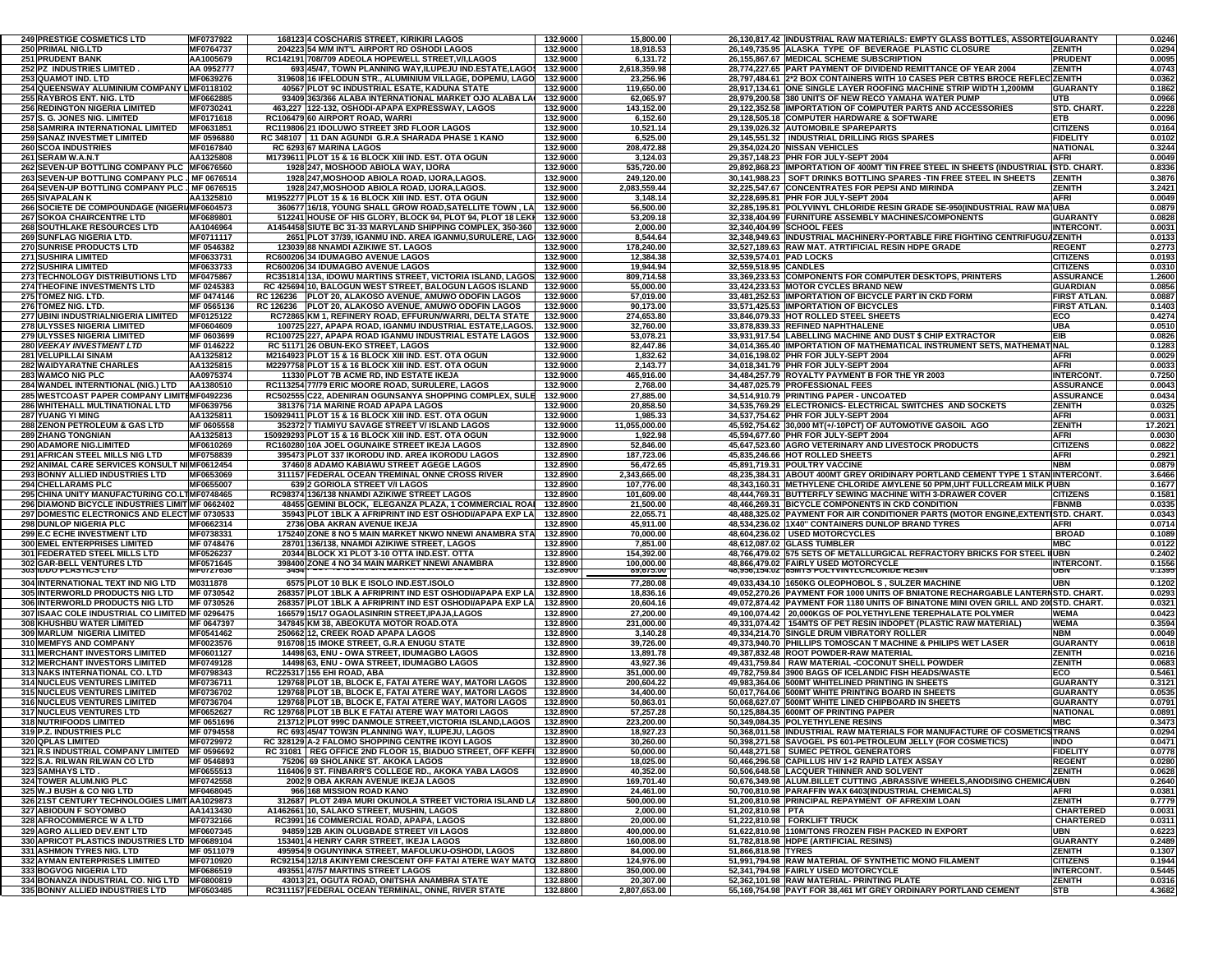| <b>249 PRESTIGE COSMETICS LTD</b>                                                      | <b>MF0737922</b> | 168123 4 COSCHARIS STREET, KIRIKIRI LAGOS                                                         | 132.9000             | 15,800.00                 | 26,130,817.42 INDUSTRIAL RAW MATERIALS: EMPTY GLASS BOTTLES, ASSORTE GUARANTY                                |                             | 0.0246           |
|----------------------------------------------------------------------------------------|------------------|---------------------------------------------------------------------------------------------------|----------------------|---------------------------|--------------------------------------------------------------------------------------------------------------|-----------------------------|------------------|
| <b>250 PRIMAL NIG.LTD</b>                                                              | MF0764737        | 204223 54 M/M INT'L AIRPORT RD OSHODI LAGOS                                                       | 132.9000             | 18,918.53                 | 26,149,735.95 ALASKA TYPE OF BEVERAGE PLASTIC CLOSURE                                                        | <b>ZENITH</b>               | 0.0294           |
| 251 PRUDENT BANK                                                                       | AA1005679        | RC142191 708/709 ADEOLA HOPEWELL STREET, V/I, LAGOS                                               | 132.9000             | 6,131.72                  | 26,155,867.67 MEDICAL SCHEME SUBSCRIPTION                                                                    | <b>PRUDENT</b>              | 0.0095           |
| 252 PZ INDUSTRIES LIMITED .                                                            | AA 0952777       | 693 45/47, TOWN PLANNING WAY, ILUPEJU IND.ESTATE, LAGO.                                           | 132.9000             | 2,618,359.98              | 28,774,227.65 PART PAYMENT OF DIVIDEND REMITTANCE OF YEAR 2004                                               | <b>ZENITH</b>               | 4.0743           |
| <b>253 QUAMOT IND. LTD</b>                                                             | MF0639276        | 319608 16 IFELODUN STR., ALUMINIUM VILLAGE, DOPEMU, LAGO                                          | 132.9000             | 23,256.96                 | 28.797.484.61 2*2 BOX CONTAINERS WITH 10 CASES PER CBTRS BROCE REFLEC ZENITH                                 |                             | 0.0362           |
| 254 QUEENSWAY ALUMINIUM COMPANY LIMF0118102                                            |                  | 40567 PLOT 9C INDUSTRIAL ESATE. KADUNA STATE                                                      | 132.9000             | 119,650.00                | 28,917,134.61 ONE SINGLE LAYER ROOFING MACHINE STRIP WIDTH 1,200MM                                           | <b>GUARANTY</b>             | 0.1862           |
| 255 RAYBROS ENT. NIG. LTD                                                              | MF0662885        | 93409 363/366 ALABA INTERNATIONAL MARKET OJO ALABA LA                                             | 132.9000             | 62,065.97                 |                                                                                                              | UTB                         | 0.0966           |
|                                                                                        |                  |                                                                                                   |                      |                           | 28,979,200.58 380 UNITS OF NEW RECO YAMAHA WATER PUMP                                                        |                             |                  |
| <b>256 REDINGTON NIGERIA LIMITED</b>                                                   | MF0730241        | 463,227 122-132, OSHODI-APAPA EXPRESSWAY, LAGOS                                                   | 132.9000             | 143,152.00                | 29,122,352.58 IMPORTATION OF COMPUTER PARTS AND ACCESSORIES                                                  | STD. CHART.                 | 0.2228           |
| 257 S. G. JONES NIG. LIMITED                                                           | MF0171618        | RC106479 60 AIRPORT ROAD, WARRI                                                                   | 132.9000             | 6,152.60                  | 29,128,505.18 COMPUTER HARDWARE & SOFTWARE                                                                   | ETB.                        | 0.0096           |
| 258 SAMRIRA INTERNATIONAL LIMITED                                                      | MF0631851        | RC119806 21 IDOLUWO STREET 3RD FLOOR LAGOS                                                        | 132.9000             | 10,521.14                 | 29,139,026.32 AUTOMOBILE SPAREPARTS                                                                          | <b>CITIZENS</b>             | 0.0164           |
| 259 SANAZ INVESTMET LIMITED                                                            | MF 0596880       | RC 348107 11 DAN AGUNDI G.R.A SHARADA PHASE 1 KANO                                                | 132.9000             | 6,525.00                  | 29,145,551.32   INDUSTRIAL DRILLING RIGS SPARES                                                              | <b>FIDELITY</b>             | 0.0102           |
| <b>260 SCOA INDUSTRIES</b>                                                             | MF0167840        | RC 6293 67 MARINA LAGOS                                                                           | 132.9000             | 208,472.88                | 29,354,024.20 NISSAN VEHICLES                                                                                | <b>NATIONAL</b>             | 0.3244           |
|                                                                                        | AA1325808        |                                                                                                   | 132.9000             | 3,124.03                  | 29,357,148.23 PHR FOR JULY-SEPT 2004                                                                         | <b>AFRI</b>                 | 0.0049           |
| 261 SERAM W.A.N.T                                                                      |                  | M1739611 PLOT 15 & 16 BLOCK XIII IND. EST. OTA OGUN                                               |                      |                           |                                                                                                              |                             |                  |
| 262 SEVEN-UP BOTTLING COMPANY PLC MF0676560                                            |                  | 1928 247, MOSHOOD ABIOLA WAY, IJORA                                                               | 132.9000             | 535,720.00                | 29,892,868.23 IMPORTATION OF 400MT TIN FREE STEEL IN SHEETS (INDUSTRIAL                                      | ISTD. CHART.                | 0.8336           |
| 263 SEVEN-UP BOTTLING COMPANY PLC . MF 0676514                                         |                  | 1928 247, MOSHOOD ABIOLA ROAD, IJORA, LAGOS.                                                      | 132.9000             | 249,120.00                | 30,141,988.23 SOFT DRINKS BOTTLING SPARES -TIN FREE STEEL IN SHEETS                                          | <b>ZENITH</b>               | 0.3876           |
| 264 SEVEN-UP BOTTLING COMPANY PLC . MF 0676515                                         |                  | 1928 247, MOSHOOD ABIOLA ROAD, IJORA, LAGOS.                                                      | 132.9000             | 2.083.559.44              | 32,225,547.67 CONCENTRATES FOR PEPSI AND MIRINDA                                                             | <b>ZENITH</b>               | 3.2421           |
| <b>265 SIVAPALAN K</b>                                                                 | AA1325810        | M1952277 PLOT 15 & 16 BLOCK XIII IND. EST. OTA OGUN                                               | 132.9000             | 3,148.14                  | 32,228,695.81 PHR FOR JULY-SEPT 2004                                                                         | <b>AFRI</b>                 | 0.0049           |
| 266 SOCIETE DE COMPOUNDAGE (NIGERI/MF0604573                                           |                  | 360677 16/18, YOUNG SHALL GROW ROAD, SATELLITE TOWN, LA                                           | 132.9000             | 56,500.00                 | 32,285,195.81 POLYVINYL CHLORIDE RESIN GRADE SE-950(INDUSTRIAL RAW MA UBA                                    |                             | 0.0879           |
| <b>267 SOKOA CHAIRCENTRE LTD</b>                                                       | MF0689801        | 512241 HOUSE OF HIS GLORY, BLOCK 94, PLOT 94, PLOT 18 LEKH                                        | 132.9000             | 53,209.18                 | 32.338.404.99 FURNITURE ASSEMBLY MACHINES/COMPONENTS                                                         | <b>GUARANTY</b>             | 0.0828           |
| <b>268 SOUTHLAKE RESOURCES LTD</b>                                                     |                  |                                                                                                   |                      |                           |                                                                                                              |                             |                  |
|                                                                                        | AA1046964        | A1454458 SIUTE BC 31-33 MARYLAND SHIPPING COMPLEX, 350-360                                        | 132.9000             | 2,000.00                  | 32,340,404.99 SCHOOL FEES                                                                                    | <b>INTERCONT.</b>           | 0.003            |
| <b>269 SUNFLAG NIGERIA LTD.</b>                                                        | MF0711117        | 2651 PLOT 37/39, IGANMU IND. AREA IGANMU, SURULERE, LAG                                           | 132.9000             | 8,544.64                  | 32,348,949.63 IINDUSTRIAL MACHINERY-PORTABLE FIRE FIGHTING CENTRIFUGUAZENITH                                 |                             | 0.0133           |
| <b>270 SUNRISE PRODUCTS LTD</b>                                                        | MF 0546382       | 123039 88 NNAMDI AZIKIWE ST. LAGOS                                                                | 132.9000             | 178,240.00                | 32,527,189.63 RAW MAT. ATRTIFICIAL RESIN HDPE GRADE                                                          | <b>REGENT</b>               | 0.2773           |
| 271 SUSHIRA LIMITED                                                                    | MF0633731        | RC600206 34 IDUMAGBO AVENUE LAGOS                                                                 | 132.9000             | 12,384.38                 | 32,539,574.01 PAD LOCKS                                                                                      | <b>CITIZENS</b>             | 0.0193           |
| 272 SUSHIRA LIMITED                                                                    | MF0633733        | RC600206 34 IDUMAGBO AVENUE LAGOS                                                                 | 132.9000             | 19,944.94                 | 32,559,518.95 CANDLES                                                                                        | <b>CITIZENS</b>             | 0.031            |
| <b>273 TECHNOLOGY DISTRIBUTIONS LTD</b>                                                | MF0475867        | RC351814 13A, IDOWU MARTINS STREET, VICTORIA ISLAND, LAGOS                                        | 132.9000             | 809,714.58                | 33,369,233.53 COMPONENTS FOR COMPUTER DESKTOPS, PRINTERS                                                     | <b>ASSURANCE</b>            | 1.2600           |
| <b>274 THEOFINE INVESTMENTS LTD</b>                                                    | MF 0245383       | RC 425694 10, BALOGUN WEST STREET, BALOGUN LAGOS ISLAND                                           | 132.9000             | 55,000.00                 | 33,424,233.53 MOTOR CYCLES BRAND NEW                                                                         | <b>GUARDIAN</b>             | 0.0856           |
|                                                                                        |                  |                                                                                                   |                      |                           |                                                                                                              |                             |                  |
| 275 TOMEZ NIG. LTD.                                                                    | MF 0474146       | RC 126236 PLOT 20, ALAKOSO AVENUE, AMUWO ODOFIN LAGOS                                             | 132.9000             | 57,019.00                 | 33,481,252.53 IMPORTATION OF BICYCLE PART IN CKD FORM                                                        | <b>FIRST ATLAN</b>          | 0.0887           |
| 276 TOMEZ NIG. LTD.                                                                    | MF 0565136       | RC 126236 PLOT 20, ALAKOSO AVENUE, AMUWO ODOFIN LAGOS                                             | 132.9000             | 90,173.00                 | 33,571,425.53 IMPORTATION OF BICYCLES                                                                        | <b>FIRST ATLAN.</b>         | 0.1403           |
| 277 UBINI INDUSTRIALNIGERIA LIMITED                                                    | MF0125122        | RC72865 KM 1, REFINERY ROAD, EFFURUN/WARRI, DELTA STATE                                           | 132.9000             | 274,653.80                | 33,846,079.33 HOT ROLLED STEEL SHEETS                                                                        | ECO                         | 0.4274           |
| <b>278 ULYSSES NIGERIA LIMITED</b>                                                     | MF0604609        | 100725 227, APAPA ROAD, IGANMU INDUSTRIAL ESTATE,LAGOS.                                           | 132.9000             | 32,760.00                 | 33,878,839.33 REFINED NAPHTHALENE                                                                            | <b>UBA</b>                  | 0.0510           |
| 279 ULYSSES NIGERIA LIMITED                                                            | MF 0603699       | RC100725 227, APAPA ROAD IGANMU INDUSTRIAL ESTATE LAGOS                                           | 132.9000             | 53,078.21                 | EIB<br>33,931,917.54 LABELLING MACHINE AND DUST \$ CHIP EXTRACTOR                                            |                             | 0.0826           |
|                                                                                        | MF 0146222       |                                                                                                   |                      |                           |                                                                                                              |                             |                  |
| <b>280 VEEKAY INVESTMENT LTD</b>                                                       |                  | RC 51171 26 OBUN-EKO STREET, LAGOS                                                                | 132.9000             | 82,447.86                 | 34,014,365.40 IMPORTATION OF MATHEMATICAL INSTRUMENT SETS, MATHEMATINAL                                      |                             | 0.1283           |
| 281 VELUPILLAI SINAM                                                                   | AA1325812        | M2164923 PLOT 15 & 16 BLOCK XIII IND. EST. OTA OGUN                                               | 132.9000             | 1,832.62                  | 34,016,198.02 PHR FOR JULY-SEPT 2004                                                                         | <b>AFRI</b>                 | 0.0029           |
| <b>282 WAIDYARATNE CHARLES</b>                                                         | AA1325815        | M2297758 PLOT 15 & 16 BLOCK XIII IND. EST. OTA OGUN                                               | 132.9000             | 2,143.77                  | 34,018,341.79 PHR FOR JULY-SEPT 2004                                                                         | <b>AFRI</b>                 | 0.0033           |
| 283 WAMCO NIG PLC                                                                      | AA0975374        | 11330 PLOT 7B ACME RD, IND ESTATE IKEJA                                                           | 132.9000             | 465,916.00                | 34,484,257.79 ROYALTY PAYMENT B FOR THE YR 2003                                                              | <b>INTERCONT.</b>           | 0.7250           |
| 284 WANDEL INTERNTIONAL (NIG.) LTD                                                     | AA1380510        | RC113254 77/79 ERIC MOORE ROAD, SURULERE, LAGOS                                                   | 132.9000             | 2,768.00                  | 34,487,025.79 PROFESSIONAL FEES                                                                              | <b>ASSURANCE</b>            | 0.0043           |
| 285 WESTCOAST PAPER COMPANY LIMITIMF0492236                                            |                  | RC502555 C22, ADENIRAN OGUNSANYA SHOPPING COMPLEX, SULE                                           | 132.9000             | 27,885.00                 | 34,514,910.79 PRINTING PAPER - UNCOATED                                                                      | <b>ASSURANCE</b>            | 0.0434           |
|                                                                                        |                  | 381376 71A MARINE ROAD APAPA LAGOS                                                                |                      |                           |                                                                                                              |                             |                  |
| 286 WHITEHALL MULTINATIONAL LTD                                                        | MF0639756        |                                                                                                   | 132.9000             | 20,858.50                 | 34,535,769.29 ELECTRONICS- ELECTRICAL SWITCHES AND SOCKETS                                                   | <b>ZENITH</b>               | 0.0325           |
| <b>287 YUANG YI MING</b>                                                               | AA1325811        | 150929411 PLOT 15 & 16 BLOCK XIII IND. EST. OTA OGUN                                              | 132.9000             | 1,985.33                  | 34,537,754.62 PHR FOR JULY-SEPT 2004                                                                         | <b>AFRI</b>                 | 0.003'           |
| 288 ZENON PETROLEUM & GAS LTD                                                          | MF 0605558       | 352372 7 TIAMIYU SAVAGE STREET V/ ISLAND LAGOS                                                    | 132.9000             | 11,055,000.00             | 45,592,754.62 30,000 MT(+/-10PCT) OF AUTOMOTIVE GASOIL AGO                                                   | <b>ZENITH</b>               | 17.2021          |
| <b>289 ZHANG TONGNIAN</b>                                                              | AA1325813        | 150929293 PLOT 15 & 16 BLOCK XIII IND. EST. OTA OGUN                                              | 132.9000             | 1,922.98                  | 45,594,677.60 PHR FOR JULY-SEPT 2004                                                                         | <b>AFRI</b>                 | 0.0030           |
| <b>290 ADAMORE NIG.LIMITED</b>                                                         | MF0610269        | RC160280 10A JOEL OGUNAIKE STREET IKEJA LAGOS                                                     | 132.8900             | 52,846.00                 | 45,647,523.60 AGRO VETERINARY AND LIVESTOCK PRODUCTS                                                         | <b>CITIZENS</b>             | 0.0822           |
| 291 AFRICAN STEEL MILLS NIG LTD                                                        | MF0758839        | 395473 PLOT 337 IKORODU IND. AREA IKORODU LAGOS                                                   | 132.8900             | 187,723.06                | 45,835,246.66 HOT ROLLED SHEETS                                                                              | <b>AFRI</b>                 | 0.2921           |
| 292 ANIMAL CARE SERVICES KONSULT NI MF0612454                                          |                  | 37460 8 ADAMO KABIAWU STREET AGEGE LAGOS                                                          | 132.8900             | 56,472.65                 | 45.891.719.31 POULTRY VACCINE                                                                                | <b>NBM</b>                  | 0.0879           |
|                                                                                        |                  |                                                                                                   |                      |                           |                                                                                                              |                             |                  |
| <b>293 BONNY ALLIED INDUSTRIES LTD</b>                                                 | MF0653069        | 311157 FEDERAL OCEAN TREMINAL ONNE CROSS RIVER                                                    | 132.8900             | 2,343,665.00              | 48,235,384.31 ABOUT 400MT GREY ORIDINARY PORTLAND CEMENT TYPE 1 STAN INTERCONT.                              |                             | 3.6466           |
| <b>294 CHELLARAMS PLC</b>                                                              | MF0655007        | 639 2 GORIOLA STREET V/I LAGOS                                                                    | 132.8900             | 107,776.00                | 48.343.160.31 METHYLENE CHLORIDE AMYLENE 50 PPM.UHT FULLCREAM MILK PUBN                                      |                             | 0.1677           |
| 295 CHINA UNITY MANUFACTURING CO.LTMF0748465                                           |                  | RC98374 136/138 NNAMDI AZIKIWE STREET LAGOS                                                       | 132.8900             | 101,609.00                | 48,444,769.31 BUTTERFLY SEWING MACHINE WITH 3-DRAWER COVER                                                   | <b>CITIZENS</b>             | 0.1581           |
| 296 DIAMOND BICYCLE INDUSTRIES LIMIT MF 0662402                                        |                  | 48455 GEMINI BLOCK, ELEGANZA PLAZA, 1 COMMERCIAL ROAI                                             | 132.8900             | 21,500.00                 | 48,466,269.31 BICYCLE COMPONENTS IN CKD CONDITION                                                            | <b>FBNMB</b>                | 0.0335           |
| 297 DOMESTIC ELECTRONICS AND ELECT MF 0730533                                          |                  | 35943 PLOT 1BLK A AFRIPRINT IND EST OSHODI/APAPA EXP LA                                           | 132.8900             | 22,055.71                 | 48,488,325.02 PAYMENT FOR AIR CONDITIONER PARTS (MOTOR ENGINE, EXTENTISTD. CHART.                            |                             | 0.0343           |
| <b>298 DUNLOP NIGERIA PLC</b>                                                          | MF0662314        | 2736 OBA AKRAN AVENUE IKEJA                                                                       | 132.8900             | 45,911.00                 | 48,534,236.02 1X40" CONTAINERS DUNLOP BRAND TYRES                                                            | <b>AFRI</b>                 | 0.0714           |
|                                                                                        |                  |                                                                                                   |                      |                           |                                                                                                              |                             |                  |
| <b>299 E.C ECHE INVESTMENT LTD</b>                                                     | MF0738331        | 175240 ZONE 8 NO 5 MAIN MARKET NKWO NNEWI ANAMBRA STA                                             | 132.8900             | 70,000.00                 | 48,604,236.02 USED MOTORCYCLES                                                                               | <b>BROAD</b>                | 0.1089           |
| <b>300 EMEL ENTERPRISES LIMITED</b>                                                    | MF 0748476       | 28701 136/138, NNAMDI AZIKIWE STREET, LAGOS                                                       | 132.8900             | 7,851.00                  | 48,612,087.02 GLASS TUMBLER                                                                                  | <b>MBC</b>                  | 0.0122           |
| 301 FEDERATED STEEL MILLS LTD                                                          | MF0526237        | 20344 BLOCK X1 PLOT 3-10 OTTA IND EST. OTTA                                                       | 132.8900             | 154,392.00                | 48,766,479.02 575 SETS OF METALLURGICAL REFRACTORY BRICKS FOR STEEL IIUBN                                    |                             | 0.2402           |
| <b>302 GAR-BELL VENTURES LTD</b>                                                       | MF0571645        | 398400 ZONE 4 NO 34 MAIN MARKET NNEWI ANAMBRA                                                     | 132.8900             | 100,000.00                | 48,866,479.02 FAIRLY USED MOTORCYCLE                                                                         | <b>INTERCONT.</b>           | 0.1556           |
| 303 IDDO PLASTICS LTD                                                                  | <b>MFU/2/636</b> | -3454                                                                                             | 132.8900             | 89,675.00                 | 48,956,154.02 85MIS POLYVINYLCHLORIDE RESIN                                                                  | <b>UBN</b>                  | U.1393           |
| 304 INTERNATIONAL TEXT IND NIG LTD                                                     | M0311878         | 6575 PLOT 10 BLK E ISOLO IND EST ISOLO                                                            | 132.8900             | 77,280.08                 | 49,033,434.10 1650KG OLEOPHOBOL S, SULZER MACHINE                                                            | <b>UBN</b>                  | 0.1202           |
| <b>305 INTERWORLD PRODUCTS NIG LTD</b>                                                 | MF 0730542       | 268357 PLOT 1BLK A AFRIPRINT IND EST OSHODI/APAPA EXP LA                                          | 132.8900             | 18,836.16                 | 49,052,270.26 PAYMENT FOR 1000 UNITS OF BNIATONE RECHARGABLE LANTERNSTD. CHART.                              |                             | 0.0293           |
|                                                                                        |                  |                                                                                                   |                      |                           |                                                                                                              |                             |                  |
| <b>306 INTERWORLD PRODUCTS NIG LTD</b>                                                 | MF 0730526       | 268357 PLOT 1BLK A AFRIPRINT IND EST OSHODI/APAPA EXP LA                                          | 132.8900             | 20,604.16                 | 49,072,874.42 PAYMENT FOR 1180 UNITS OF BINATONE MINI OVEN GRILL AND 20(STD. CHART.                          |                             | 0.032            |
| 307 ISAAC COLE INDUSTRIAL CO LIMITED MF 0296475                                        |                  | 166579 15/17 OGAOLASINRIN STREET, IPAJA, LAGOS                                                    | 132.8900             | 27,200.00                 | 49,100,074.42 20,000KGS OF POLYETHYLENE TEREPHALATE POLYMER                                                  | <b>WEMA</b>                 | 0.0423           |
| <b>308 KHUSHBU WATER LIMITED</b>                                                       | MF 0647397       | 347845 KM 38, ABEOKUTA MOTOR ROAD OTA                                                             | 132.8900             | 231,000.00                | 49,331,074.42   154MTS OF PET RESIN INDOPET (PLASTIC RAW MATERIAL)                                           | <b>WEMA</b>                 | 0.3594           |
| 309 MARLUM NIGERIA LIMITED                                                             | MF0541462        | 250662 12, CREEK ROAD APAPA LAGOS                                                                 | 132.8900             | 3,140.28                  | 49,334,214.70 SINGLE DRUM VIBRATORY ROLLER                                                                   | <b>NBM</b>                  | 0.0049           |
| <b>310 MEMFYS AND COMPANY</b>                                                          | MF0023576        | 916708 15 IMOKE STREET, G.R.A ENUGU STATE                                                         | 132.8900             | 39,726.00                 | 49.373.940.70 PHILLIPS TOMOSCAN T MACHINE & PHILIPS WET LASER                                                | <b>GUARANTY</b>             | 0.0618           |
| <b>311 MERCHANT INVESTORS LIMITED</b>                                                  | MF0601127        | 14498 63, ENU - OWA STREET, IDUMAGBO LAGOS                                                        | 132.8900             | 13,891.78                 | 49,387,832.48 ROOT POWDER-RAW MATERIAL                                                                       | <b>ZENITH</b>               | 0.0216           |
| <b>312 MERCHANT INVESTORS LIMITED</b>                                                  | MF0749128        | 14498 63, ENU - OWA STREET, IDUMAGBO LAGOS                                                        | 132.8900             | 43,927.36                 | 49,431,759.84 RAW MATERIAL -COCONUT SHELL POWDER                                                             | <b>ZENITH</b>               | 0.0683           |
|                                                                                        | MF0798343        |                                                                                                   |                      |                           |                                                                                                              |                             |                  |
| 313 NAKS INTERNATIONAL CO. LTD                                                         |                  | RC225317 155 EHI ROAD, ABA                                                                        | 132.8900             | 351,000.00                | 49,782,759.84 3900 BAGS OF ICELANDIC FISH HEADS/WASTE                                                        | ECO                         | 0.5461           |
| <b>314 NUCLEUS VENTURES LIMITED</b>                                                    | MF0736711        | 129768 PLOT 1B, BLOCK E, FATAI ATERE WAY, MATORI LAGOS                                            | 132.8900             | 200,604.22                | 49,983,364.06 500MT WHITELINED PRINTING IN SHEETS                                                            | <b>GUARANTY</b>             | 0.3121           |
| <b>315 NUCLEUS VENTURES LIMITED</b>                                                    | MF0736702        | 129768 PLOT 1B, BLOCK E, FATAI ATERE WAY, MATORI LAGOS                                            | 132.8900             | 34.400.00                 | 50,017,764.06 500MT WHITE PRINTING BOARD IN SHEETS                                                           | <b>GUARANTY</b>             | 0.0535           |
| <b>316 NUCLEUS VENTURES LIMITED</b>                                                    | MF0736704        | 129768 PLOT 1B, BLOCK E, FATAI ATERE WAY, MATORI LAGOS                                            | 132.8900             | 50,863.01                 | 50,068,627.07 500MT WHITE LINED CHIPBOARD IN SHEETS                                                          | <b>GUARANTY</b>             | 0.0791           |
| <b>317 NUCLEUS VENTURES LTD</b>                                                        | MF0652627        | RC 129768 PLOT 1B BLK E FATAI ATERE WAY MATORI LAGOS                                              | 132.8900             | 57,257.28                 | 50,125,884.35 600MT OF PRINTING PAPER                                                                        | <b>NATIONAL</b>             | 0.0891           |
| <b>318 NUTRIFOODS LIMITED</b>                                                          | MF 0651696       | 213712 PLOT 999C DANMOLE STREET, VICTORIA ISLAND, LAGOS                                           | 132.8900             | 223,200.00                | 50,349,084.35 POLYETHYLENE RESINS                                                                            | <b>MBC</b>                  | 0.3473           |
| 319 P Z INDUSTRIES PLC                                                                 | MF 0794558       | RC 693 45/47 TOW3N PLANNING WAY ILLIPE ILL LAGOS                                                  | 1328900              | 18 927 23                 | 50 368 011 58 INDUSTRIAL RAW MATERIALS FOR MANUFACTURE OF COSMETICSTRANS                                     |                             | 0.0294           |
|                                                                                        |                  |                                                                                                   |                      |                           |                                                                                                              |                             | 0.0471           |
| <b>320 QPLAS LIMITED</b>                                                               | MF0729972        | RC 328129 A-2 FALOMO SHOPPING CENTRE IKOYI LAGOS                                                  | 132.8900             | 30,260.00                 | 50,398,271.58 SAVOGEL PS 601-PETROLEUM JELLY (FOR COSMETICS)                                                 | <b>INDO</b>                 |                  |
| 321 R.S INDUSTRIAL COMPANY LIMITED                                                     | MF 0596692       | RC 31081 REG OFFICE 2ND FLOOR 15, BIADUO STREET, OFF KEFFI                                        | 132.8900             | 50,000.00                 | 50,448,271.58 SUMEC PETROL GENERATORS                                                                        | <b>FIDELITY</b>             | 0.0778           |
| 322 S.A. RILWAN RILWAN CO LTD                                                          | MF 0546893       | 75206 69 SHOLANKE ST. AKOKA LAGOS                                                                 | 132.8900             | 18,025.00                 | 50,466,296.58 CAPILLUS HIV 1+2 RAPID LATEX ASSAY                                                             | <b>REGENT</b>               | 0.0280           |
| <b>323 SAMHAYS LTD .</b>                                                               | MF0655513        | 116406 9 ST. FINBARR'S COLLEGE RD., AKOKA YABA LAGOS                                              | 132.8900             | 40,352.00                 | 50.506.648.58 LACQUER THINNER AND SOLVENT                                                                    | <b>ZENITH</b>               | 0.0628           |
| <b>324 TOWER ALUM.NIG PLC</b>                                                          | MF0742558        | 2002 9 OBA AKRAN AVENUE IKEJA LAGOS                                                               | 132.8900             | 169,701.40                | 50,676,349.98 ALUM.BILLET CUTTING ,ABRASSIVE WHEELS,ANODISING CHEMICAUBN                                     |                             | 0.2640           |
|                                                                                        | MF0468045        | 966 168 MISSION ROAD KANO                                                                         | 132.8900             | 24,461.00                 | 50,700,810.98 PARAFFIN WAX 6403(INDUSTRIAL CHEMICALS)                                                        | <b>AFRI</b>                 | 0.0381           |
|                                                                                        |                  |                                                                                                   | 132.8800             | 500,000.00                | 51,200,810.98 PRINCIPAL REPAYMENT OF AFREXIM LOAN                                                            | <b>ZENITH</b>               | 0.7779           |
| <b>325 W.J BUSH &amp; CO NIG LTD</b>                                                   |                  |                                                                                                   |                      |                           |                                                                                                              |                             | 0.0031           |
| 326 21ST CENTURY TECHNOLOGIES LIMIT AA1029873                                          |                  | 312687 PLOT 249A MURI OKUNOLA STREET VICTORIA ISLAND LA                                           |                      |                           |                                                                                                              |                             |                  |
| <b>327 ABIODUN F SOYOMBO</b>                                                           | AA1413430        | A1462661 10, SALAKO STREET, MUSHIN, LAGOS                                                         | 132.8800             | 2,000.00                  | 51,202,810.98 PTA                                                                                            | <b>CHARTERED</b>            |                  |
| <b>328 AFROCOMMERCE W A LTD</b>                                                        | MF0732166        | RC3991 16 COMMERCIAL ROAD, APAPA, LAGOS                                                           | 132.8800             | 20,000.00                 | 51,222,810.98 FORKLIFT TRUCK                                                                                 | <b>CHARTERED</b>            | 0.0311           |
| <b>329 AGRO ALLIED DEV.ENT LTD</b>                                                     | MF0607345        | 94859 12B AKIN OLUGBADE STREET V/I LAGOS                                                          | 132.8800             | 400,000.00                | 51,622,810.98 110M/TONS FROZEN FISH PACKED IN EXPORT                                                         | <b>UBN</b>                  | 0.6223           |
| 330 APRICOT PLASTICS INDUSTRIES LTD MF0689104                                          |                  | 153401 4 HENRY CARR STREET, IKEJA LAGOS                                                           | 132.8800             | 160,008.00                | 51,782,818.98 HDPE (ARTIFICIAL RESINS)                                                                       | <b>GUARANTY</b>             | 0.2489           |
| <b>331 ASHMON TYRES NIG. LTD</b>                                                       | MF 0511079       | 495954 9 OGUNYINKA STREET. MAFOLUKU-OSHODI, LAGOS                                                 | 132.8800             | 84,000.00                 | 51,866,818.98 TYRES                                                                                          | <b>ZENITH</b>               | 0.1307           |
|                                                                                        |                  |                                                                                                   |                      |                           |                                                                                                              |                             |                  |
| <b>332 AYMAN ENTERPRISES LIMITED</b>                                                   | MF0710920        | RC92154 12/18 AKINYEMI CRESCENT OFF FATAI ATERE WAY MATO                                          | 132.8800             | 124,976.00                | 51,991,794.98 RAW MATERIAL OF SYNTHETIC MONO FILAMENT                                                        | <b>CITIZENS</b>             | 0.1944           |
| <b>333 BOGVOG NIGERIA LTD</b>                                                          | MF0686519        | 493551 47/57 MARTINS STREET LAGOS                                                                 | 132.8800             | 350,000.00                | 52,341,794.98 FAIRLY USED MOTORCYCLE                                                                         | <b>INTERCONT.</b>           | 0.5445           |
| 334 BONANZA INDUSTRIAL CO. NIG LTD MF0800819<br><b>335 BONNY ALLIED INDUSTRIES LTD</b> | MF0503485        | 43013 21, OGUTA ROAD, ONITSHA ANAMBRA STATE<br>RC311157 FEDERAL OCEAN TERMINAL, ONNE, RIVER STATE | 132.8800<br>132.8800 | 20,307.00<br>2,807,653.00 | 52.362.101.98 RAW MATERIAL- PRINTING PLATE<br>55,169,754.98 PAYT FOR 38,461 MT GREY ORDINARY PORTLAND CEMENT | <b>ZENITH</b><br><b>STB</b> | 0.0316<br>4.3682 |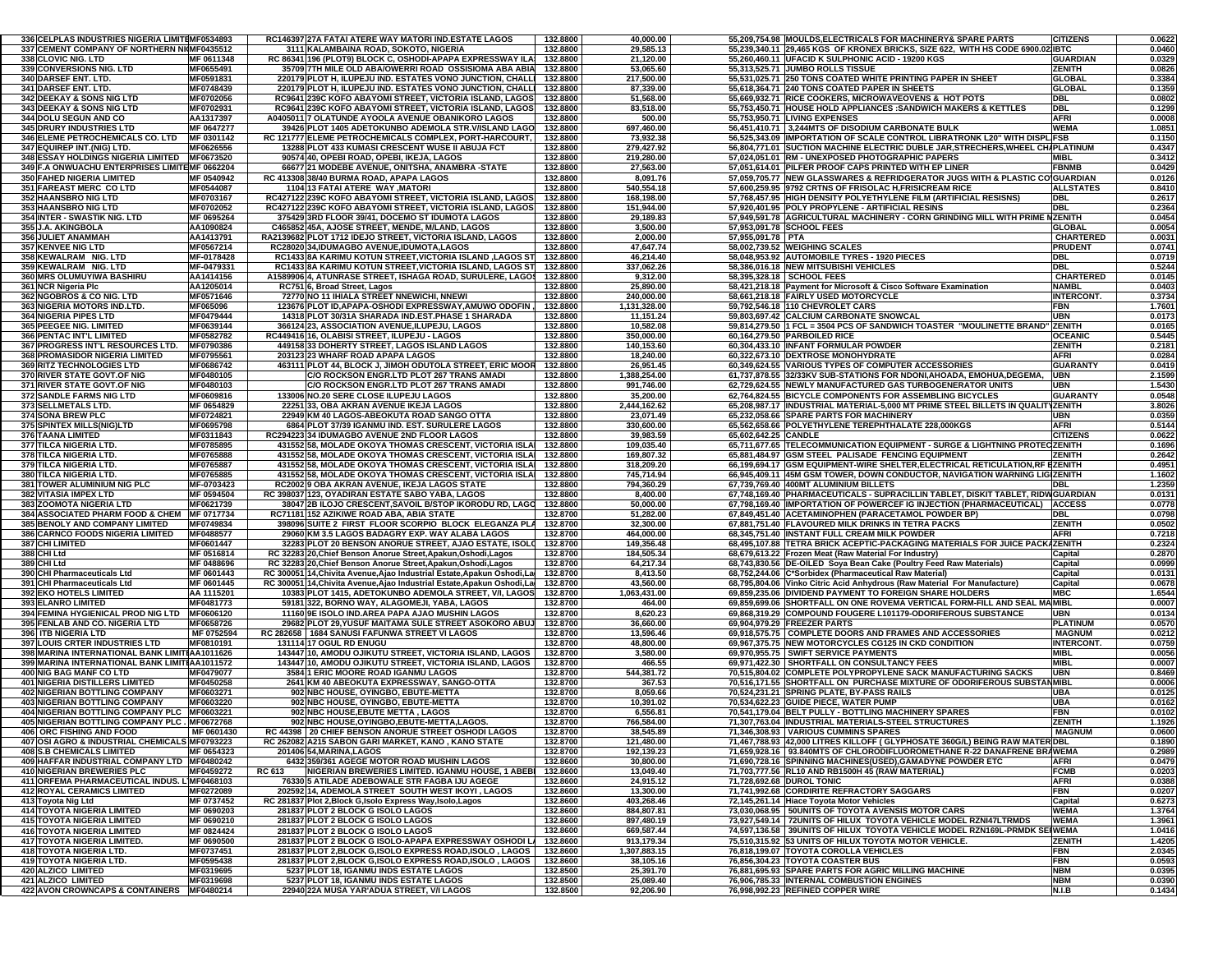| 336 CELPLAS INDUSTRIES NIGERIA LIMITEMF0534893                  |                   | RC146397 27A FATAI ATERE WAY MATORI IND ESTATE LAGOS                                | 132,8800             | 40,000.00              | 55,209,754.98 MOULDS, ELECTRICALS FOR MACHINERY& SPARE PARTS                    | <b>CITIZENS</b>            | 0.0622           |
|-----------------------------------------------------------------|-------------------|-------------------------------------------------------------------------------------|----------------------|------------------------|---------------------------------------------------------------------------------|----------------------------|------------------|
| 337 CEMENT COMPANY OF NORTHERN NI(MF0435512                     |                   | 3111 KALAMBAINA ROAD, SOKOTO, NIGERIA                                               | 132.8800             | 29,585.13              | 55,239,340.11 29,465 KGS OF KRONEX BRICKS, SIZE 622, WITH HS CODE 6900.02 IBTC  |                            | 0.0460           |
| <b>338 CLOVIC NIG. LTD</b>                                      | MF 0611348        | RC 86341 196 (PLOT9) BLOCK C, OSHODI-APAPA EXPRESSWAY ILA                           | 132.8800             | 21,120.00              | 55.260.460.11 UFACID K SULPHONIC ACID - 19200 KGS                               | <b>GUARDIAN</b>            | 0.0329           |
|                                                                 |                   |                                                                                     |                      |                        |                                                                                 |                            |                  |
| <b>339 CONVERSIONS NIG. LTD</b>                                 | MF0655491         | 35709 7TH MILE OLD ABA/OWERRI ROAD OSSISIOMA ABA ABIA                               | 132.8800             | 53,065.60              | 55,313,525.71 JUMBO ROLLS TISSUE                                                | <b>ZENITH</b>              | 0.0826           |
| <b>340 DARSEF ENT. LTD.</b>                                     | MF0591831         | 220179 PLOT H. ILUPEJU IND. ESTATES VONO JUNCTION, CHALLI                           | 132.8800             | 217,500.00             | 55,531,025.71 250 TONS COATED WHITE PRINTING PAPER IN SHEET                     | <b>GLOBAL</b>              | 0.3384           |
| 341 DARSEF ENT. LTD.                                            | MF0748439         | 220179 PLOT H. ILUPEJU IND. ESTATES VONO JUNCTION. CHALLI                           | 132.8800             | 87,339.00              | 55,618,364.71 240 TONS COATED PAPER IN SHEETS                                   | <b>GLOBAL</b>              | 0.1359           |
| <b>342 DEEKAY &amp; SONS NIG LTD</b>                            | MF0702056         | RC9641 239C KOFO ABAYOMI STREET, VICTORIA ISLAND, LAGOS                             | 132.8800             | 51,568.00              | 55,669,932.71 RICE COOKERS, MICROWAVEOVENS & HOT POTS                           | <b>DBL</b>                 | 0.0802           |
| <b>343 DEEKAY &amp; SONS NIG LTD</b>                            | MF0702931         | RC9641 239C KOFO ABAYOMI STREET, VICTORIA ISLAND, LAGOS                             | 132.8800             | 83,518.00              | 55,753,450.71 HOUSE HOLD APPLIANCES :SANDWICH MAKERS & KETTLES                  | <b>DBL</b>                 | 0.1299           |
| <b>344 DOLU SEGUN AND CO</b>                                    | AA1317397         | A0405011 7 OLATUNDE AYOOLA AVENUE OBANIKORO LAGOS                                   | 132.8800             | 500.00                 | 55,753,950.71 LIVING EXPENSES                                                   | AFRI                       | 0.0008           |
| <b>345 DRURY INDUSTRIES LTD</b>                                 | MF 0647277        | 39426 PLOT 1405 ADETOKUNBO ADEMOLA STR. V/ISLAND LAGO                               | 132.8800             | 697,460.00             | 56,451,410.71 3,244MTS OF DISODIUM CARBONATE BULK                               | <b>WEMA</b>                | 1.0851           |
|                                                                 |                   |                                                                                     |                      |                        |                                                                                 |                            |                  |
| <b>346 ELEME PETROCHEMICALS CO. LTD</b>                         | MF 0301142        | RC 121777 ELEME PETROCHEMICALS COMPLEX, PORT-HARCOURT,                              | 132.8800             | 73,932.38              | 56,525,343.09 IMPORTATION OF SCALE CONTROL LIBRATRONK L20" WITH DISPLIFSB       |                            | 0.1150           |
| <b>347 EQUIREP INT.(NIG) LTD.</b>                               | MF0626556         | 13288 PLOT 433 KUMASI CRESCENT WUSE II ABUJA FCT                                    | 132.8800             | 279,427.92             | 56.804.771.01 SUCTION MACHINE ELECTRIC DUBLE JAR.STRECHERS.WHEEL CHAPLATINUM    |                            | 0.4347           |
| <b>348 ESSAY HOLDINGS NIGERIA LIMITED</b>                       | MF0673520         | 90574 40, OPEBI ROAD, OPEBI, IKEJA, LAGOS                                           | 132.8800             | 219,280.00             | 57,024,051.01 RM - UNEXPOSED PHOTOGRAPHIC PAPERS                                | <b>MIBL</b>                | 0.3412           |
| 349 F.A ONWUACHU ENTERPRISES LIMITEMF 0662204                   |                   | 66677 21 MODEBE AVENUE, ONITSHA, ANAMBRA -STATE                                     | 132.8800             | 27,563.00              | 57,051,614.01 PILFER PROOF CAPS PRINTED WITH EP LINER                           | <b>FBNMB</b>               | 0.0429           |
| <b>350 FAHED NIGERIA LIMITED</b>                                | MF 0540942        | RC 413308 38/40 BURMA ROAD, APAPA LAGOS                                             | 132.8800             | 8,091.76               | 57,059,705.77  NEW GLASSWARES & REFRIDGERATOR JUGS WITH & PLASTIC CO GUARDIAN   |                            | 0.0126           |
| 351 FAREAST MERC COLTD                                          | MF0544087         | 1104 13 FATAI ATERE WAY .MATORI                                                     | 132.8800             | 540,554.18             | 57,600,259.95 9792 CRTNS OF FRISOLAC H, FRISICREAM RICE                         | <b>ALLSTATES</b>           | 0.8410           |
| <b>352 HAANSBRO NIG LTD</b>                                     | MF0703167         | RC427122 239C KOFO ABAYOMI STREET. VICTORIA ISLAND. LAGOS                           | 132.8800             | 168,198.00             | 57,768,457.95 HIGH DENSITY POLYETHYLENE FILM (ARTIFICIAL RESISNS)               | DBL                        | 0.2617           |
|                                                                 | MF0702052         |                                                                                     |                      |                        |                                                                                 |                            |                  |
| <b>353 HAANSBRO NIG LTD</b>                                     |                   | RC427122 239C KOFO ABAYOMI STREET, VICTORIA ISLAND, LAGOS                           | 132.8800             | 151,944.00             | 57,920,401.95 POLY PROPYLENE - ARTIFICIAL RESINS                                | DBL                        | 0.2364           |
| <b>354 INTER - SWASTIK NIG. LTD</b>                             | MF 0695264        | 375429 3RD FLOOR 39/41, DOCEMO ST IDUMOTA LAGOS                                     | 132.8800             | 29,189.83              | 57,949,591.78 AGRICULTURAL MACHINERY - CORN GRINDING MILL WITH PRIME NZENITH    |                            | 0.0454           |
| 355 J.A. AKINGBOLA                                              | AA1090824         | C465852 45A. AJOSE STREET. MENDE. M/LAND. LAGOS                                     | 132.8800             | 3,500.00               | 57,953,091.78 SCHOOL FEES                                                       | <b>GLOBAL</b>              | 0.0054           |
| 356 JULIET ANAMMAH                                              | AA1413791         | RA2139682 PLOT 1712 IDEJO STREET, VICTORIA ISLAND, LAGOS                            | 132.8800             | 2,000.00               | 57,955,091.78 PTA                                                               | <b>CHARTERED</b>           | 0.0031           |
| <b>357 KENVEE NIG LTD</b>                                       | MF0567214         | RC28020 34, IDUMAGBO AVENUE, IDUMOTA, LAGOS                                         | 132.8800             | 47,647.74              | 58,002,739.52 WEIGHING SCALES                                                   | <b>PRUDENT</b>             | 0.0741           |
| 358 KEWALRAM NIG. LTD                                           | MF-0178428        | RC1433 8A KARIMU KOTUN STREET, VICTORIA ISLAND , LAGOS ST                           | 132.8800             | 46,214.40              | 58,048,953.92 AUTOMOBILE TYRES - 1920 PIECES                                    | <b>DBL</b>                 | 0.0719           |
| 359 KEWALRAM NIG. LTD                                           | MF-0479331        | RC1433 8A KARIMU KOTUN STREET, VICTORIA ISLAND, LAGOS ST                            | 132.8800             | 337,062.26             | 58,386,016.18 NEW MITSUBISHI VEHICLES                                           | <b>DBL</b>                 | 0.5244           |
| 360 MRS OLUMUYIWA BASHIRU                                       | AA1414156         | A1589906 4, ATUNRASE STREET, ISHAGA ROAD, SURULERE, LAGOS                           | 132.8800             | 9,312.00               | 58,395,328.18 SCHOOL FEES                                                       | <b>CHARTERED</b>           | 0.0145           |
|                                                                 |                   |                                                                                     | 132.8800             |                        |                                                                                 | <b>NAMBL</b>               |                  |
| 361 NCR Nigeria Plc                                             | AA1205014         | RC751 6, Broad Street, Lagos                                                        |                      | 25,890.00              | 58,421,218.18 Payment for Microsoft & Cisco Software Examination                |                            | 0.0403           |
| <b>362 NGOBROS &amp; CO NIG. LTD</b>                            | MF0571646         | 72770 NO 11 IHIALA STREET NNEWICHI, NNEWI                                           | 132.8800             | 240,000.00             | 58,661,218.18 FAIRLY USED MOTORCYCLE                                            | INTERCONT.                 | 0.3734           |
| 363 NIGERIA MOTORS IND.LTD.                                     | MF065096          | 123676 PLOT ID, APAPA-OSHODI EXPRESSWAY, AMUWO ODOFIN,                              | 132.8800             | 1,131,328.00           | 59,792,546.18 110 CHEVROLET CARS                                                | <b>FBN</b>                 | 1.7601           |
| <b>364 NIGERIA PIPES LTD</b>                                    | MF0479444         | 14318 PLOT 30/31A SHARADA IND EST PHASE 1 SHARADA                                   | 132.8800             | 11,151.24              | 59,803,697.42 CALCIUM CARBONATE SNOWCAL                                         | UBN                        | 0.0173           |
| 365 PEEGEE NIG. LIMITED                                         | MF0639144         | 366124 23, ASSOCIATION AVENUE, ILUPEJU, LAGOS                                       | 132.8800             | 10,582.08              | 59,814,279.50 1 FCL = 3504 PCS OF SANDWICH TOASTER "MOULINETTE BRAND"           | <b>ZENITH</b>              | 0.0165           |
| 366 PENTAC INT'L LIMITED                                        | MF0582782         | RC449416 16, OLABISI STREET, ILUPEJU - LAGOS                                        | 132.8800             | 350,000.00             | 60,164,279.50 PARBOILED RICE                                                    | <b>OCEANIC</b>             | 0.5445           |
| <b>367 PROGRESS INT'L RESOURCES LTD.</b>                        | MF0790386         | 449158 33 DOHERTY STREET, LAGOS ISLAND LAGOS                                        | 132.8800             | 140,153.60             | 60,304,433.10 INFANT FORMULAR POWDER                                            | <b>ZENITH</b>              | 0.2181           |
| <b>368 PROMASIDOR NIGERIA LIMITED</b>                           | MF0795561         | 203123 23 WHARF ROAD APAPA LAGOS                                                    | 132.8800             | 18,240.00              | 60.322.673.10 DEXTROSE MONOHYDRATE                                              | <b>AFRI</b>                | 0.0284           |
|                                                                 |                   |                                                                                     |                      |                        |                                                                                 |                            |                  |
| <b>369 RITZ TECHNOLOGIES LTD</b>                                | MF0686742         | 463111 PLOT 44, BLOCK J, JIMOH ODUTOLA STREET, ERIC MOOR                            | 132.8800             | 26,951.45              | 60,349,624.55 VARIOUS TYPES OF COMPUTER ACCESSORIES                             | <b>GUARANTY</b>            | 0.0419           |
| <b>370 RIVER STATE GOVT.OF NIG</b>                              | MF0480105         | C/O ROCKSON ENGR.LTD PLOT 267 TRANS AMADI                                           | 132.8800             | 1,388,254.00           | 61,737,878.55 32/33KV SUB-STATIONS FOR NDONI, AHOADA, EMOHUA, DEGEMA,           | <b>UBN</b>                 | 2.1599           |
| <b>371 RIVER STATE GOVT.OF NIG</b>                              | MF0480103         | C/O ROCKSON ENGR.LTD PLOT 267 TRANS AMADI                                           | 132.8800             | 991,746.00             | 62,729,624.55 NEWLY MANUFACTURED GAS TURBOGENERATOR UNITS                       | <b>UBN</b>                 | 1.5430           |
| <b>372 SANDLE FARMS NIG LTD</b>                                 | MF0609816         | 133006 NO.20 SERE CLOSE ILUPEJU LAGOS                                               | 132.8800             | 35,200.00              | 62.764.824.55 BICYCLE COMPONENTS FOR ASSEMBLING BICYCLES                        | <b>GUARANTY</b>            | 0.0548           |
| 373 SELLMETALS LTD.                                             | MF 0654829        | 22251 33. OBA AKRAN AVENUE IKEJA LAGOS                                              | 132.8800             | 2,444,162.62           | 65,208,987.17 INDUSTRIAL MATERIAL-5,000 MT PRIME STEEL BILLETS IN QUALITYZENITH |                            | 3.8026           |
| <b>374 SONA BREW PLC</b>                                        | MF0724821         | 22949 KM 40 LAGOS-ABEOKUTA ROAD SANGO OTTA                                          | 132.8800             | 23,071.49              | 65,232,058.66 SPARE PARTS FOR MACHINERY                                         | UBN                        | 0.0359           |
| <b>375 SPINTEX MILLS(NIG)LTD</b>                                | MF0695798         | 6864 PLOT 37/39 IGANMU IND. EST. SURULERE LAGOS                                     | 132.8800             | 330,600.00             | 65,562,658.66 POLYETHYLENE TEREPHTHALATE 228,000KGS                             | <b>AFRI</b>                | 0.5144           |
|                                                                 |                   |                                                                                     |                      |                        |                                                                                 |                            |                  |
| 376 TAANA LIMITED                                               | MF0311843         | RC294223 34 IDUMAGBO AVENUE 2ND FLOOR LAGOS                                         | 132.8800             | 39,983.59              | 65,602,642.25 CANDLE                                                            | <b>CITIZENS</b>            | 0.0622           |
| <b>377 TILCA NIGERIA LTD</b>                                    | MF0785895         | 431552 58, MOLADE OKOYA THOMAS CRESCENT, VICTORIA ISLA                              | 132.8800             | 109,035.40             | 65,711,677.65 TELECOMMUNICATION EQUIPMENT - SURGE & LIGHTNING PROTEC ZENITH     |                            | 0.1696           |
| 378 TILCA NIGERIA LTD                                           | MF0765888         | 431552 58, MOLADE OKOYA THOMAS CRESCENT, VICTORIA ISLA                              | 132.8800             | 169,807.32             | 65,881,484.97 GSM STEEL PALISADE FENCING EQUIPMENT                              | ZENITH                     | 0.2642           |
| 379 TILCA NIGERIA LTD                                           | MF0765887         | 431552 58, MOLADE OKOYA THOMAS CRESCENT, VICTORIA ISLA                              | 132.8800             | 318,209.20             | 66,199,694.17 GSM EQUIPMENT-WIRE SHELTER, ELECTRICAL RETICULATION, RF EZENITH   |                            | 0.4951           |
| <b>380 TILCA NIGERIA LTD.</b>                                   | MF0765885         | 431552 58. MOLADE OKOYA THOMAS CRESCENT. VICTORIA ISLA                              | 132.8800             | 745,714.94             | 66,945,409.11 45M GSM TOWER, DOWN CONDUCTOR, NAVIGATION WARNING LIGIZENITH      |                            | 1.1602           |
| 381 TOWER ALUMINIUM NIG PLC                                     |                   |                                                                                     |                      |                        |                                                                                 |                            |                  |
|                                                                 |                   |                                                                                     |                      |                        | 67.739.769.40 400MT ALUMINIUM BILLETS                                           |                            |                  |
|                                                                 | MF-0703423        | RC2002 9 OBA AKRAN AVENUE. IKEJA LAGOS STATE                                        | 132.8800             | 794,360.29             |                                                                                 | DBL                        | 1.2359           |
| <b>382 VITASIA IMPEX LTD</b>                                    | MF 0594504        | RC 398037 123, OYADIRAN ESTATE SABO YABA, LAGOS                                     | 132.8800             | 8,400.00               | 67,748,169.40 PHARMACEUTICALS - SUPRACILLIN TABLET, DISKIT TABLET, RIDWGUARDIAN |                            | 0.0131           |
| 383 ZOOMOTA NIGERIA LTD                                         | MF0621739         | 38047 2B ILOJO CRESCENT, SAVOIL B/STOP IKORODU RD, LAGO                             | 132.8800             | 50,000.00              | 67,798,169.40  IMPORTATION OF POWERCEF IG INJECTION (PHARMACEUTICAL)   ACCESS   |                            | 0.0778           |
| <b>384 ASSOCIATED PHARM FOOD &amp; CHEM</b>                     | MF 0717734        | RC71181 152 AZIKIWE ROAD ABA, ABIA STATE                                            | 132.8700             | 51,282.00              | 67,849,451.40 ACETAMINOPHEN (PARACETAMOL POWDER BP)                             | DBL                        | 0.0798           |
| <b>385 BENOLY AND COMPANY LIMITED</b>                           | MF0749834         | 398096 SUITE 2 FIRST FLOOR SCORPIO BLOCK ELEGANZA PLA                               | 132.8700             | 32,300.00              | 67,881,751.40 FLAVOURED MILK DRINKS IN TETRA PACKS                              | <b>ZENITH</b>              | 0.0502           |
| <b>386 CARNCO FOODS NIGERIA LIMITED</b>                         | MF0488577         | 29060 KM 3.5 LAGOS BADAGRY EXP. WAY ALABA LAGOS                                     | 132.8700             | 464,000.00             | 68,345,751.40 INSTANT FULL CREAM MILK POWDER                                    | <b>AFRI</b>                | 0.7218           |
| <b>387 CHI LIMITED</b>                                          | MF0601447         | 32283 PLOT 20 BENSON ANORUE STREET, AJAO ESTATE, ISOLO                              | 132.8700             | 149,356.48             | 68,495,107.88 TETRA BRICK ACEPTIC-PACKAGING MATERIALS FOR JUICE PACKAZENITH     |                            | 0.2324           |
| 388 CHI Ltd                                                     | MF 0516814        | RC 32283 20, Chief Benson Anorue Street, Apakun, Oshodi, Lagos                      | 132.8700             | 184,505.34             | 68,679,613.22 Frozen Meat (Raw Material For Industry)                           | Capital                    | 0.2870           |
| 389 CHI Ltd                                                     | MF 0488696        |                                                                                     | 132.8700             | 64,217.34              |                                                                                 | Capital                    | 0.0999           |
|                                                                 |                   | RC 32283 20, Chief Benson Anorue Street, Apakun, Oshodi, Lagos                      |                      |                        | 68,743,830.56 DE-OILED Soya Bean Cake (Poultry Feed Raw Materials)              |                            |                  |
| 390 CHI Pharmaceuticals Ltd                                     | MF 0601443        | RC 300051 14, Chivita Avenue, Ajao Industrial Estate, Apakun Oshodi, La             | 132.8700             | 8,413.50               | 68,752,244.06 C*Sorbidex (Pharmaceutical Raw Material)                          | Capital                    | 0.0131           |
| 391 CHI Pharmaceuticals Ltd                                     | MF 0601445        | RC 300051 14, Chivita Avenue, Ajao Industrial Estate, Apakun Oshodi, La             | 132.8700             | 43,560.00              | 68,795,804.06 Vinko Citric Acid Anhydrous (Raw Material For Manufacture)        | Capital                    | 0.0678           |
| <b>392 EKO HOTELS LIMITED</b>                                   | AA 1115201        | 10383 PLOT 1415, ADETOKUNBO ADEMOLA STREET, V/I, LAGOS                              | 132.8700             | 1,063,431.00           | 69,859,235.06 DIVIDEND PAYMENT TO FOREIGN SHARE HOLDERS                         | MBC                        | 1.6544           |
| <b>393 ELANRO LIMITED</b>                                       | MF0481773         | 59181 322, BORNO WAY, ALAGOMEJI, YABA, LAGOS                                        | 132.8700             | 464.00                 | 69,859,699.06 SHORTFALL ON ONE ROVEMA VERTICAL FORM-FILL AND SEAL MAMIBL        |                            | 0.0007           |
| 394 FEMINA HYGIENICAL PROD NIG LTD MF0606120                    |                   | 11160 9E ISOLO IND.AREA PAPA AJAO MUSHIN LAGOS                                      | 132.8700             | 8,620.23               | 69,868,319.29 COMPOUND FOUGERE L101179-ODORIFEROUS SUBSTANCE                    | UBN                        | 0.0134           |
| <b>395 FENLAB AND CO. NIGERIA LTD</b>                           | MF0658726         | 29682 PLOT 29, YUSUF MAITAMA SULE STREET ASOKORO ABUJ                               | 132.8700             | 36,660.00              | 69,904,979.29 FREEZER PARTS                                                     | <b>PLATINUM</b>            | 0.0570           |
| 396 ITB NIGERIA LTD                                             | MF 0752594        | RC 282658   1684 SANUSI FAFUNWA STREET VI LAGOS                                     | 132.8700             | 13,596.46              | 69,918,575.75 COMPLETE DOORS AND FRAMES AND ACCESSORIES                         | <b>MAGNUM</b>              | 0.0212           |
| <b>397 LOUIS CRTER INDUSTRIES LTD</b>                           | MF0810191         | 131114 17 OGUL RD ENUGU                                                             | 132.8700             | 48,800.00              | 69,967,375.75 NEW MOTORCYCLES CG125 IN CKD CONDITION                            | <b>INTERCONT</b>           | 0.0759           |
| 398 MARINA INTERNATIONAL BANK LIMITIAA1011626                   |                   |                                                                                     | 132.8700             | 3,580.00               |                                                                                 | <b>MIBL</b>                |                  |
|                                                                 |                   | 143447 10, AMODU OJIKUTU STREET, VICTORIA ISLAND, LAGOS                             |                      |                        | 69,970,955.75 SWIFT SERVICE PAYMENTS                                            |                            | 0.0056           |
| 399 MARINA INTERNATIONAL BANK LIMITIAA1011572                   |                   | 143447 10, AMODU OJIKUTU STREET, VICTORIA ISLAND, LAGOS                             | 132.8700             | 466.55                 | 69,971,422.30 SHORTFALL ON CONSULTANCY FEES                                     | <b>MIBL</b>                | 0.0007           |
| 400 NIG BAG MANF CO LTD                                         | MF0479077         | 3584 1 ERIC MOORE ROAD IGANMU LAGOS                                                 | 132.8700             | 544,381.72             | 70,515,804.02 COMPLETE POLYPROPYLENE SACK MANUFACTURING SACKS                   | <b>UBN</b>                 | 0.8469           |
| 401 NIGERIA DISTILLERS LIMITED                                  | MF0450258         | 2641 KM 40 ABEOKUTA EXPRESSWAY, SANGO-OTTA                                          | 132.8700             | 367.53                 | 70,516,171.55 SHORTFALL ON PURCHASE MIXTURE OF ODORIFEROUS SUBSTANMIBL          |                            | 0.0006           |
| <b>402 NIGERIAN BOTTLING COMPANY</b>                            | MF0603271         | 902 NBC HOUSE, OYINGBO, EBUTE-METTA                                                 | 132.8700             | 8,059.66               | 70,524,231.21 SPRING PLATE, BY-PASS RAILS                                       | UBA                        | 0.0125           |
| 403 NIGERIAN BOTTLING COMPANY                                   | MF0603220         | 902 NBC HOUSE, OYINGBO, EBUTE-METTA                                                 | 132.8700             | 10,391.02              | 70,534,622.23 GUIDE PIECE, WATER PUMP                                           | <b>UBA</b>                 | 0.0162           |
| 404 NIGERIAN BOTTLING COMPANY PLC MF0603221                     |                   | 902 NBC HOUSE, EBUTE METTA, LAGOS                                                   | 132.8700             | 6,556.81               | 70,541,179.04 BELT PULLY - BOTTLING MACHINERY SPARES                            | <b>FBN</b>                 | 0.0102           |
| 405 NIGERIAN BOTTLING COMPANY PLC . MF0672768                   |                   | 902 NBC HOUSE, OYINGBO, EBUTE-METTA, LAGOS.                                         | 132.8700             | 766,584.00             | 71,307,763.04 INDUSTRIAL MATERIALS-STEEL STRUCTURES                             | <b>ZENITH</b>              | 1.1926           |
| 406 ORC FISHING AND FOOD                                        | <b>MF 0601430</b> | RC 44398 20 CHIEF BENSON ANORUE STREET OSHODLLAGOS                                  | 1328700              | 38 545 89              | 71 346 308 93 VARIOUS CUMMINS SPARES                                            | <b>MAGNUM</b>              | 0.0600           |
| 407 OSI AGRO & INDUSTRIAL CHEMICALS MF0793223                   |                   | RC 262082 A215 SABON GARI MARKET, KANO, KANO STATE                                  | 132.8700             | 121,480.00             | 71,467,788.93 42,000 LITRES KILLOFF ( GLYPHOSATE 360G/L) BEING RAW MATER DBL    |                            | 0.1890           |
|                                                                 |                   |                                                                                     |                      |                        |                                                                                 |                            |                  |
| <b>408 S.B CHEMICALS LIMITED</b>                                | MF 0654323        | 201406 54, MARINA, LAGOS                                                            | 132.8700             | 192,139.23             | 71,659,928.16 93.840MTS OF CHLORODIFLUOROMETHANE R-22 DANAFRENE BRAWEMA         |                            | 0.2989           |
| 409 HAFFAR INDUSTRIAL COMPANY LTD MF0480242                     |                   | 6432 359/361 AGEGE MOTOR ROAD MUSHIN LAGOS                                          | 132.8600             | 30,800.00              | 71,690,728.16 SPINNING MACHINES(USED),GAMADYNE POWDER ETC                       | AFRI                       | 0.0479           |
| <b>410 NIGERIAN BREWERIES PLC</b>                               | MF0459272         | NIGERIAN BREWERIES LIMITED. IGANMU HOUSE, 1 ABEBI<br>RC 613                         | 132.8600             | 13,049.40              | 71,703,777.56 RL10 AND RB1500H 45 (RAW MATERIAL)                                | <b>FCMB</b>                | 0.0203           |
| 411 ORFEMA PHARMACEUTICAL INDUS. L]MF0468103                    |                   | 76330 5 ATILADE ADEBOWALE STR FAGBA IJU AGEGE                                       | 132.8600             | 24,915.12              | 71.728.692.68 DUROL TONIC                                                       | <b>AFRI</b>                | 0.0388           |
| <b>412 ROYAL CERAMICS LIMITED</b>                               | MF0272089         | 202592 14, ADEMOLA STREET SOUTH WEST IKOYI, LAGOS                                   | 132.8600             | 13,300.00              | 71,741,992.68 CORDIRITE REFRACTORY SAGGARS                                      | <b>FBN</b>                 | 0.0207           |
| 413 Toyota Nig Ltd                                              | MF 0737452        | RC 281837 Plot 2, Block G, Isolo Express Way, Isolo, Lagos                          | 132.8600             | 403,268.46             | 72,145,261.14 Hiace Toyota Motor Vehicles                                       | Capital                    | 0.6273           |
| 414 TOYOTA NIGERIA LIMITED                                      | MF 0690203        | 281837 PLOT 2 BLOCK G ISOLO LAGOS                                                   | 132.8600             | 884,807.81             | 73,030,068.95   50UNITS OF TOYOTA AVENSIS MOTOR CARS                            | <b>WEMA</b>                | 1.3764           |
| <b>415 TOYOTA NIGERIA LIMITED</b>                               | MF 0690210        | 281837 PLOT 2 BLOCK G ISOLO LAGOS                                                   | 132.8600             | 897,480.19             | 73,927,549.14 72UNITS OF HILUX TOYOTA VEHICLE MODEL RZNI47LTRMDS                | <b>WEMA</b>                | 1.3961           |
|                                                                 |                   |                                                                                     |                      |                        |                                                                                 |                            |                  |
| 416 TOYOTA NIGERIA LIMITED                                      | MF 0824424        | 281837 PLOT 2 BLOCK G ISOLO LAGOS                                                   | 132.8600             | 669,587.44             | 74,597,136.58 39UNITS OF HILUX TOYOTA VEHICLE MODEL RZN169L-PRMDK SEIWEMA       |                            | 1.0416           |
| 417 TOYOTA NIGERIA LIMITED.                                     | MF 0690500        | 281837 PLOT 2 BLOCK G ISOLO-APAPA EXPRESSWAY OSHODI LA                              | 132.8600             | 913,179.34             | 75,510,315.92 53 UNITS OF HILUX TOYOTA MOTOR VEHICLE.                           | <b>ZENITH</b>              | 1.4205           |
| 418 TOYOTA NIGERIA LTD.                                         | MF0737451         | 281837 PLOT 2.BLOCK G.ISOLO EXPRESS ROAD.ISOLO . LAGOS                              | 132.8600             | 1,307,883.15           | 76,818,199.07 TOYOTA COROLLA VEHICLES                                           | <b>FBN</b>                 | 2.0345           |
| 419 TOYOTA NIGERIA LTD.                                         | MF0595438         | 281837 PLOT 2, BLOCK G, ISOLO EXPRESS ROAD, ISOLO, LAGOS                            | 132.8600             | 38,105.16              | 76,856,304.23 TOYOTA COASTER BUS                                                | <b>FBN</b>                 | 0.0593           |
| 420 ALZICO LIMITED                                              | MF0319695         | 5237 PLOT 18, IGANMU INDS ESTATE LAGOS                                              | 132.8500             | 25,391.70              | 76,881,695.93 SPARE PARTS FOR AGRIC MILLING MACHINE                             | <b>NBM</b>                 | 0.0395           |
| 421 ALZICO LIMITED<br>422 AVON CROWNCAPS & CONTAINERS MF0480214 | MF0319698         | 5237 PLOT 18, IGANMU INDS ESTATE LAGOS<br>22940 22A MUSA YAR'ADUA STREET, V/I LAGOS | 132.8500<br>132.8500 | 25,089.40<br>92,206.90 | 76,906,785.33 INTERNAL COMBUSTION ENGINES<br>76,998,992.23 REFINED COPPER WIRE  | <b>NBM</b><br><b>N.I.B</b> | 0.0390<br>0.1434 |